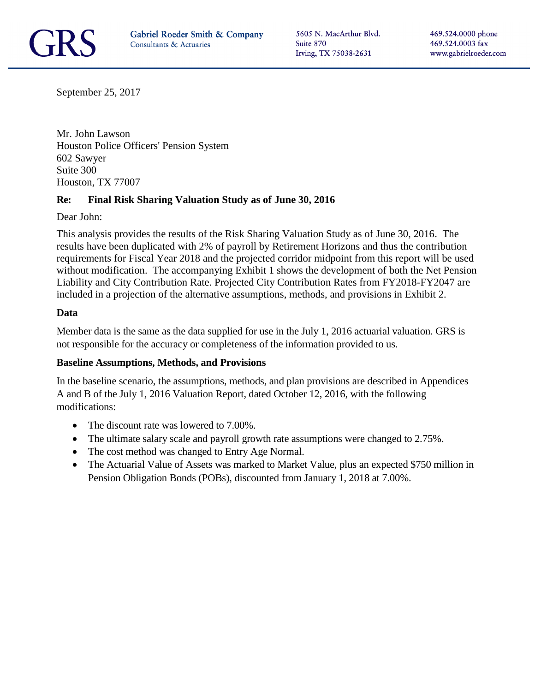

5605 N. MacArthur Blvd. Suite 870 Irving, TX 75038-2631

September 25, 2017

Mr. John Lawson Houston Police Officers' Pension System 602 Sawyer Suite 300 Houston, TX 77007

#### **Re: Final Risk Sharing Valuation Study as of June 30, 2016**

Dear John:

This analysis provides the results of the Risk Sharing Valuation Study as of June 30, 2016. The results have been duplicated with 2% of payroll by Retirement Horizons and thus the contribution requirements for Fiscal Year 2018 and the projected corridor midpoint from this report will be used without modification. The accompanying Exhibit 1 shows the development of both the Net Pension Liability and City Contribution Rate. Projected City Contribution Rates from FY2018-FY2047 are included in a projection of the alternative assumptions, methods, and provisions in Exhibit 2.

#### **Data**

Member data is the same as the data supplied for use in the July 1, 2016 actuarial valuation. GRS is not responsible for the accuracy or completeness of the information provided to us.

#### **Baseline Assumptions, Methods, and Provisions**

In the baseline scenario, the assumptions, methods, and plan provisions are described in Appendices A and B of the July 1, 2016 Valuation Report, dated October 12, 2016, with the following modifications:

- The discount rate was lowered to 7.00%.
- The ultimate salary scale and payroll growth rate assumptions were changed to 2.75%.
- The cost method was changed to Entry Age Normal.
- The Actuarial Value of Assets was marked to Market Value, plus an expected \$750 million in Pension Obligation Bonds (POBs), discounted from January 1, 2018 at 7.00%.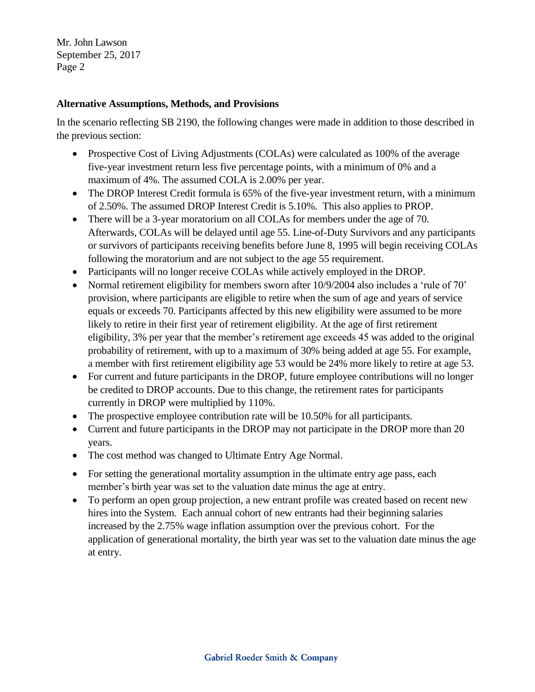Mr. John Lawson September 25, 2017 Page 2

#### **Alternative Assumptions, Methods, and Provisions**

In the scenario reflecting SB 2190, the following changes were made in addition to those described in the previous section:

- Prospective Cost of Living Adjustments (COLAs) were calculated as 100% of the average five-year investment return less five percentage points, with a minimum of 0% and a maximum of 4%. The assumed COLA is 2.00% per year.
- The DROP Interest Credit formula is 65% of the five-year investment return, with a minimum of 2.50%. The assumed DROP Interest Credit is 5.10%. This also applies to PROP.
- There will be a 3-year moratorium on all COLAs for members under the age of 70. Afterwards, COLAs will be delayed until age 55. Line-of-Duty Survivors and any participants or survivors of participants receiving benefits before June 8, 1995 will begin receiving COLAs following the moratorium and are not subject to the age 55 requirement.
- Participants will no longer receive COLAs while actively employed in the DROP.
- Normal retirement eligibility for members sworn after 10/9/2004 also includes a 'rule of 70' provision, where participants are eligible to retire when the sum of age and years of service equals or exceeds 70. Participants affected by this new eligibility were assumed to be more likely to retire in their first year of retirement eligibility. At the age of first retirement eligibility, 3% per year that the member's retirement age exceeds 45 was added to the original probability of retirement, with up to a maximum of 30% being added at age 55. For example, a member with first retirement eligibility age 53 would be 24% more likely to retire at age 53.
- For current and future participants in the DROP, future employee contributions will no longer be credited to DROP accounts. Due to this change, the retirement rates for participants currently in DROP were multiplied by 110%.
- The prospective employee contribution rate will be 10.50% for all participants.
- Current and future participants in the DROP may not participate in the DROP more than 20 years.
- The cost method was changed to Ultimate Entry Age Normal.
- For setting the generational mortality assumption in the ultimate entry age pass, each member's birth year was set to the valuation date minus the age at entry.
- To perform an open group projection, a new entrant profile was created based on recent new hires into the System. Each annual cohort of new entrants had their beginning salaries increased by the 2.75% wage inflation assumption over the previous cohort. For the application of generational mortality, the birth year was set to the valuation date minus the age at entry.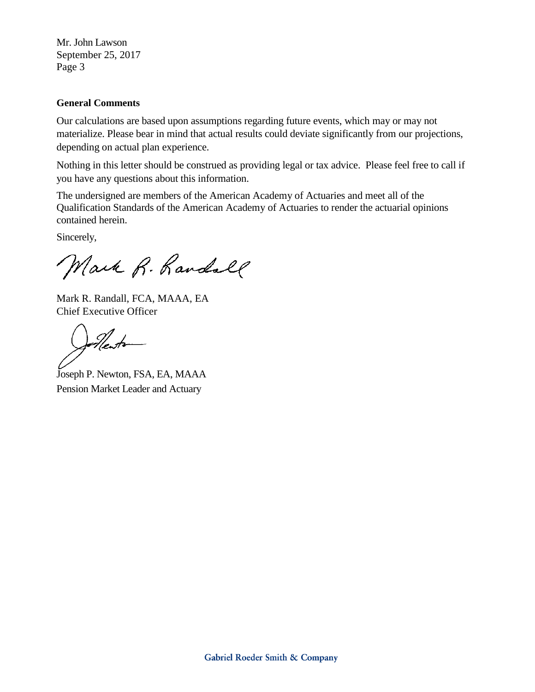Mr. John Lawson September 25, 2017 Page 3

#### **General Comments**

Our calculations are based upon assumptions regarding future events, which may or may not materialize. Please bear in mind that actual results could deviate significantly from our projections, depending on actual plan experience.

Nothing in this letter should be construed as providing legal or tax advice. Please feel free to call if you have any questions about this information.

The undersigned are members of the American Academy of Actuaries and meet all of the Qualification Standards of the American Academy of Actuaries to render the actuarial opinions contained herein.

Sincerely,

Mark R. Randall

Mark R. Randall, FCA, MAAA, EA Chief Executive Officer

Flewton

Joseph P. Newton, FSA, EA, MAAA Pension Market Leader and Actuary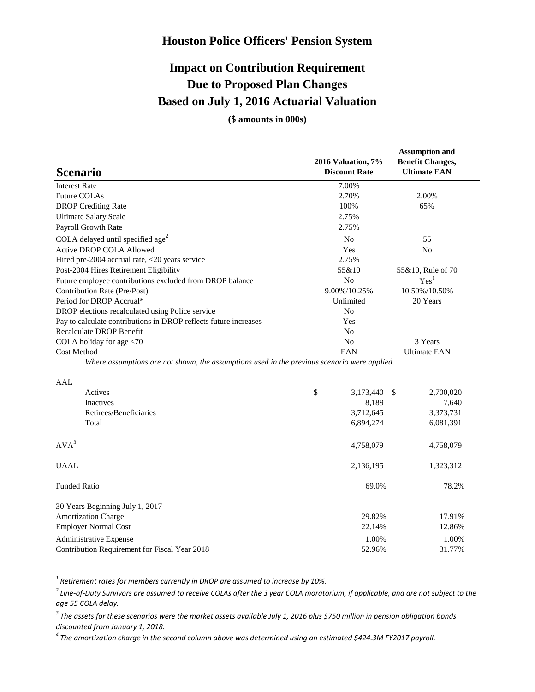# **Houston Police Officers' Pension System**

# **Based on July 1, 2016 Actuarial Valuation Due to Proposed Plan Changes Impact on Contribution Requirement**

### **(\$ amounts in 000s)**

| <b>Scenario</b>                                                  | 2016 Valuation, 7%<br><b>Discount Rate</b> | <b>Assumption and</b><br><b>Benefit Changes,</b><br><b>Ultimate EAN</b> |
|------------------------------------------------------------------|--------------------------------------------|-------------------------------------------------------------------------|
| <b>Interest Rate</b>                                             | 7.00%                                      |                                                                         |
| <b>Future COLAs</b>                                              | 2.70%                                      | 2.00%                                                                   |
| <b>DROP</b> Crediting Rate                                       | 100%                                       | 65%                                                                     |
| <b>Ultimate Salary Scale</b>                                     | 2.75%                                      |                                                                         |
| <b>Payroll Growth Rate</b>                                       | 2.75%                                      |                                                                         |
| COLA delayed until specified $age2$                              | No                                         | 55                                                                      |
| <b>Active DROP COLA Allowed</b>                                  | Yes                                        | N <sub>0</sub>                                                          |
| Hired pre-2004 accrual rate, $\langle 20 \rangle$ years service  | 2.75%                                      |                                                                         |
| Post-2004 Hires Retirement Eligibility                           | 55&10                                      | 55&10, Rule of 70                                                       |
| Future employee contributions excluded from DROP balance         | N <sub>o</sub>                             | Yes <sup>1</sup>                                                        |
| Contribution Rate (Pre/Post)                                     | 9.00%/10.25%                               | 10.50%/10.50%                                                           |
| Period for DROP Accrual*                                         | Unlimited                                  | 20 Years                                                                |
| DROP elections recalculated using Police service                 | N <sub>0</sub>                             |                                                                         |
| Pay to calculate contributions in DROP reflects future increases | Yes                                        |                                                                         |
| <b>Recalculate DROP Benefit</b>                                  | N <sub>0</sub>                             |                                                                         |
| COLA holiday for age $\langle 70 \rangle$                        | N <sub>0</sub>                             | 3 Years                                                                 |
| <b>Cost Method</b>                                               | <b>EAN</b>                                 | <b>Ultimate EAN</b>                                                     |

*Where assumptions are not shown, the assumptions used in the previous scenario were applied.*

AAL

| AAL                                           |                                  |           |
|-----------------------------------------------|----------------------------------|-----------|
| Actives                                       | \$<br>3,173,440<br>$\mathcal{S}$ | 2,700,020 |
| Inactives                                     | 8,189                            | 7,640     |
| Retirees/Beneficiaries                        | 3,712,645                        | 3,373,731 |
| Total                                         | 6,894,274                        | 6,081,391 |
| AVA <sup>3</sup>                              | 4,758,079                        | 4,758,079 |
| <b>UAAL</b>                                   | 2,136,195                        | 1,323,312 |
| <b>Funded Ratio</b>                           | 69.0%                            | 78.2%     |
| 30 Years Beginning July 1, 2017               |                                  |           |
| <b>Amortization Charge</b>                    | 29.82%                           | 17.91%    |
| <b>Employer Normal Cost</b>                   | 22.14%                           | 12.86%    |
| <b>Administrative Expense</b>                 | 1.00%                            | 1.00%     |
| Contribution Requirement for Fiscal Year 2018 | 52.96%                           | 31.77%    |

*1 Retirement rates for members currently in DROP are assumed to increase by 10%.*

*2 Line-of-Duty Survivors are assumed to receive COLAs after the 3 year COLA moratorium, if applicable, and are not subject to the age 55 COLA delay.* 

*3 The assets for these scenarios were the market assets available July 1, 2016 plus \$750 million in pension obligation bonds discounted from January 1, 2018.* 

*4 The amortization charge in the second column above was determined using an estimated \$424.3M FY2017 payroll.*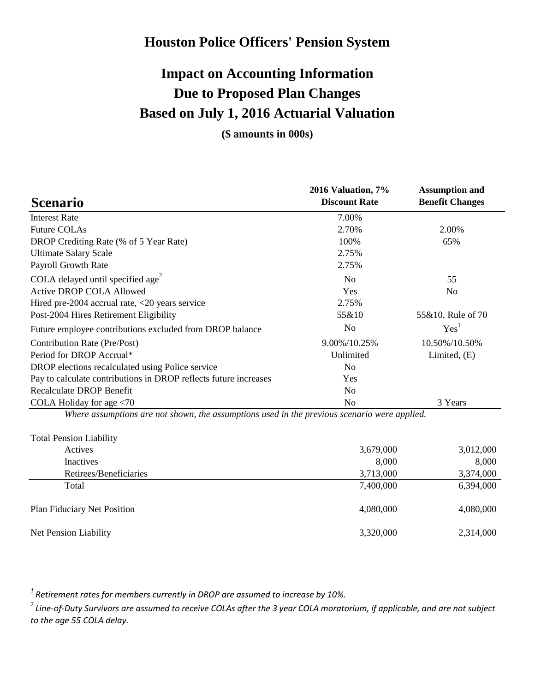# **Houston Police Officers' Pension System**

# **Impact on Accounting Information Due to Proposed Plan Changes Based on July 1, 2016 Actuarial Valuation**

**(\$ amounts in 000s)**

|                                                                                              | 2016 Valuation, 7%   | <b>Assumption and</b>  |
|----------------------------------------------------------------------------------------------|----------------------|------------------------|
| <b>Scenario</b>                                                                              | <b>Discount Rate</b> | <b>Benefit Changes</b> |
| <b>Interest Rate</b>                                                                         | 7.00%                |                        |
| <b>Future COLAs</b>                                                                          | 2.70%                | 2.00%                  |
| DROP Crediting Rate (% of 5 Year Rate)                                                       | 100%                 | 65%                    |
| <b>Ultimate Salary Scale</b>                                                                 | 2.75%                |                        |
| Payroll Growth Rate                                                                          | 2.75%                |                        |
| COLA delayed until specified age <sup>2</sup>                                                | N <sub>0</sub>       | 55                     |
| <b>Active DROP COLA Allowed</b>                                                              | Yes                  | N <sub>o</sub>         |
| Hired pre-2004 accrual rate, $\langle 20 \rangle$ years service                              | 2.75%                |                        |
| Post-2004 Hires Retirement Eligibility                                                       | 55&10                | 55&10, Rule of 70      |
| Future employee contributions excluded from DROP balance                                     | N <sub>0</sub>       | Yes <sup>1</sup>       |
| Contribution Rate (Pre/Post)                                                                 | 9.00%/10.25%         | 10.50%/10.50%          |
| Period for DROP Accrual*                                                                     | Unlimited            | Limited, $(E)$         |
| DROP elections recalculated using Police service                                             | No                   |                        |
| Pay to calculate contributions in DROP reflects future increases                             | Yes                  |                        |
| <b>Recalculate DROP Benefit</b>                                                              | N <sub>0</sub>       |                        |
| COLA Holiday for age <70                                                                     | N <sub>o</sub>       | 3 Years                |
| Where assumptions are not shown, the assumptions used in the previous scenario were applied. |                      |                        |
| <b>Total Pension Liability</b>                                                               |                      |                        |
| Actives                                                                                      | 3,679,000            | 3,012,000              |
| Inactives                                                                                    | 8,000                | 8,000                  |

| 11100 U V O                        | v.vvv     | $v_{\bullet}v_{\bullet}v_{\bullet}$ |
|------------------------------------|-----------|-------------------------------------|
| Retirees/Beneficiaries             | 3,713,000 | 3,374,000                           |
| Total                              | 7,400,000 | 6,394,000                           |
| <b>Plan Fiduciary Net Position</b> | 4,080,000 | 4,080,000                           |
| Net Pension Liability              | 3,320,000 | 2,314,000                           |

*1 Retirement rates for members currently in DROP are assumed to increase by 10%.*

*2 Line-of-Duty Survivors are assumed to receive COLAs after the 3 year COLA moratorium, if applicable, and are not subject to the age 55 COLA delay.*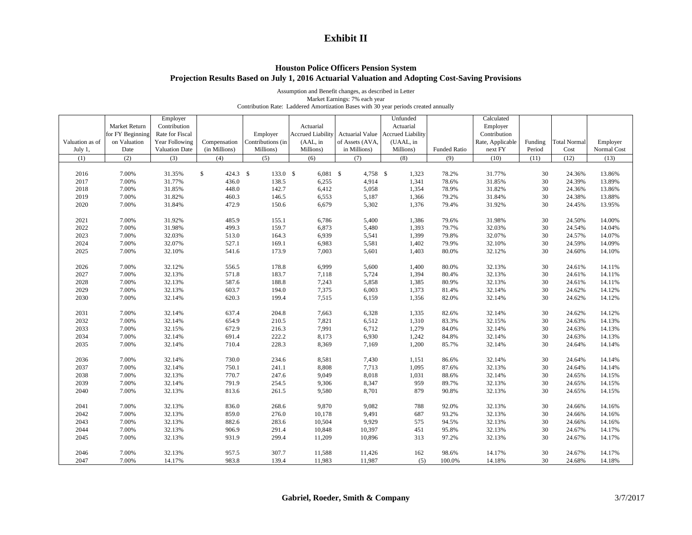# **Exhibit II**

|                 |                  | Employer              |                                |                    |                          |                     | Unfunded                            |                     | Calculated       |         |                     |             |
|-----------------|------------------|-----------------------|--------------------------------|--------------------|--------------------------|---------------------|-------------------------------------|---------------------|------------------|---------|---------------------|-------------|
|                 | Market Return    | Contribution          |                                |                    | Actuarial                |                     | Actuarial                           |                     | Employer         |         |                     |             |
|                 | for FY Beginning | Rate for Fiscal       |                                | Employer           | <b>Accrued Liability</b> |                     | Actuarial Value   Accrued Liability |                     | Contribution     |         |                     |             |
| Valuation as of | on Valuation     | Year Following        | Compensation                   | Contributions (in) | (AAL, in                 | of Assets (AVA,     | (UAAL, in                           |                     | Rate, Applicable | Funding | <b>Total Normal</b> | Employer    |
| July 1,         | Date             | <b>Valuation Date</b> | (in Millions)                  | Millions)          | Millions)                | in Millions)        | Millions)                           | <b>Funded Ratio</b> | next FY          | Period  | Cost                | Normal Cost |
| (1)             | (2)              | (3)                   | (4)                            | (5)                | (6)                      | (7)                 | (8)                                 | (9)                 | (10)             | (11)    | (12)                | (13)        |
|                 |                  |                       |                                |                    |                          |                     |                                     |                     |                  |         |                     |             |
| 2016            | 7.00%            | 31.35%                | $\mathcal{S}$<br>424.3 $\sqrt$ | $133.0$ \$         | $6,081$ \$               | 4,758 $\frac{1}{2}$ | 1,323                               | 78.2%               | 31.77%           | 30      | 24.36%              | 13.86%      |
| 2017            | 7.00%            | 31.77%                | 436.0                          | 138.5              | 6,255                    | 4,914               | 1,341                               | 78.6%               | 31.85%           | 30      | 24.39%              | 13.89%      |
| 2018            | 7.00%            | 31.85%                | 448.0                          | 142.7              | 6,412                    | 5,058               | 1,354                               | 78.9%               | 31.82%           | 30      | 24.36%              | 13.86%      |
| 2019            | 7.00%            | 31.82%                | 460.3                          | 146.5              | 6,553                    | 5,187               | 1,366                               | 79.2%               | 31.84%           | 30      | 24.38%              | 13.88%      |
| 2020            | 7.00%            | 31.84%                | 472.9                          | 150.6              | 6,679                    | 5,302               | 1,376                               | 79.4%               | 31.92%           | 30      | 24.45%              | 13.95%      |
|                 |                  |                       |                                |                    |                          |                     |                                     |                     |                  |         |                     |             |
| 2021            | 7.00%            | 31.92%                | 485.9                          | 155.1              | 6,786                    | 5,400               | 1,386                               | 79.6%               | 31.98%           | 30      | 24.50%              | 14.00%      |
| 2022            | 7.00%            | 31.98%                | 499.3                          | 159.7              | 6,873                    | 5,480               | 1,393                               | 79.7%               | 32.03%           | 30      | 24.54%              | 14.04%      |
| 2023            | 7.00%            | 32.03%                | 513.0                          | 164.3              | 6,939                    | 5,541               | 1,399                               | 79.8%               | 32.07%           | 30      | 24.57%              | 14.07%      |
| 2024            | 7.00%            | 32.07%                | 527.1                          | 169.1              | 6,983                    | 5,581               | 1,402                               | 79.9%               | 32.10%           | 30      | 24.59%              | 14.09%      |
| 2025            | 7.00%            | 32.10%                | 541.6                          | 173.9              | 7,003                    | 5,601               | 1,403                               | 80.0%               | 32.12%           | 30      | 24.60%              | 14.10%      |
|                 |                  |                       |                                |                    |                          |                     |                                     |                     |                  |         |                     |             |
| 2026            | 7.00%            | 32.12%                | 556.5                          | 178.8              | 6,999                    | 5,600               | 1,400                               | 80.0%               | 32.13%           | 30      | 24.61%              | 14.11%      |
| 2027            | 7.00%            | 32.13%                | 571.8                          | 183.7              | 7,118                    | 5,724               | 1,394                               | 80.4%               | 32.13%           | 30      | 24.61%              | 14.11%      |
| 2028            | 7.00%            | 32.13%                | 587.6                          | 188.8              | 7,243                    | 5,858               | 1,385                               | 80.9%               | 32.13%           | 30      | 24.61%              | 14.11%      |
| 2029            | 7.00%            | 32.13%                | 603.7                          | 194.0              | 7,375                    | 6,003               | 1,373                               | 81.4%               | 32.14%           | 30      | 24.62%              | 14.12%      |
| 2030            | 7.00%            | 32.14%                | 620.3                          | 199.4              | 7,515                    | 6,159               | 1,356                               | 82.0%               | 32.14%           | 30      | 24.62%              | 14.12%      |
|                 |                  |                       |                                |                    |                          |                     |                                     |                     |                  |         |                     |             |
| 2031            | 7.00%            | 32.14%                | 637.4                          | 204.8              | 7,663                    | 6,328               | 1,335                               | 82.6%               | 32.14%           | 30      | 24.62%              | 14.12%      |
| 2032            | 7.00%            | 32.14%                | 654.9                          | 210.5              | 7,821                    | 6,512               | 1,310                               | 83.3%               | 32.15%           | 30      | 24.63%              | 14.13%      |
| 2033            | 7.00%            | 32.15%                | 672.9                          | 216.3              | 7,991                    | 6,712               | 1,279                               | 84.0%               | 32.14%           | 30      | 24.63%              | 14.13%      |
| 2034            | 7.00%            | 32.14%                | 691.4                          | 222.2              | 8,173                    | 6,930               | 1,242                               | 84.8%               | 32.14%           | 30      | 24.63%              | 14.13%      |
| 2035            | 7.00%            | 32.14%                | 710.4                          | 228.3              | 8,369                    | 7,169               | 1,200                               | 85.7%               | 32.14%           | 30      | 24.64%              | 14.14%      |
|                 |                  |                       |                                |                    |                          |                     |                                     |                     |                  |         |                     |             |
| 2036            | 7.00%            | 32.14%                | 730.0                          | 234.6              | 8,581                    | 7,430               | 1,151                               | 86.6%               | 32.14%           | 30      | 24.64%              | 14.14%      |
| 2037            | 7.00%            | 32.14%                | 750.1                          | 241.1              | 8,808                    | 7,713               | 1,095                               | 87.6%               | 32.13%           | 30      | 24.64%              | 14.14%      |
| 2038            | 7.00%            | 32.13%                | 770.7                          | 247.6              | 9,049                    | 8,018               | 1,031                               | 88.6%               | 32.14%           | 30      | 24.65%              | 14.15%      |
| 2039            | 7.00%            | 32.14%                | 791.9                          | 254.5              | 9,306                    | 8,347               | 959                                 | 89.7%               | 32.13%           | 30      | 24.65%              | 14.15%      |
| 2040            | 7.00%            | 32.13%                | 813.6                          | 261.5              | 9,580                    | 8,701               | 879                                 | 90.8%               | 32.13%           | 30      | 24.65%              | 14.15%      |
|                 |                  |                       |                                |                    |                          |                     |                                     |                     |                  |         |                     |             |
| 2041            | 7.00%            | 32.13%                | 836.0                          | 268.6              | 9,870                    | 9,082               | 788                                 | 92.0%               | 32.13%           | 30      | 24.66%              | 14.16%      |
| 2042            | 7.00%            | 32.13%                | 859.0                          | 276.0              | 10,178                   | 9,491               | 687                                 | 93.2%               | 32.13%           | 30      | 24.66%              | 14.16%      |
| 2043            | 7.00%            | 32.13%                | 882.6                          | 283.6              | 10,504                   | 9,929               | 575                                 | 94.5%               | 32.13%           | 30      | 24.66%              | 14.16%      |
| 2044            | 7.00%            | 32.13%                | 906.9                          | 291.4              | 10,848                   | 10,397              | 451                                 | 95.8%               | 32.13%           | 30      | 24.67%              | 14.17%      |
| 2045            | 7.00%            | 32.13%                | 931.9                          | 299.4              | 11,209                   | 10,896              | 313                                 | 97.2%               | 32.13%           | 30      | 24.67%              | 14.17%      |
|                 |                  |                       |                                |                    |                          |                     |                                     |                     |                  |         |                     |             |
| 2046            | 7.00%            | 32.13%                | 957.5                          | 307.7              | 11,588                   | 11,426              | 162                                 | 98.6%               | 14.17%           | 30      | 24.67%              | 14.17%      |
| 2047            | 7.00%            | 14.17%                | 983.8                          | 139.4              | 11,983                   | 11,987              | (5)                                 | 100.0%              | 14.18%           | 30      | 24.68%              | 14.18%      |

Assumption and Benefit changes, as described in Letter Market Earnings: 7% each year

## **Houston Police Officers Pension System Projection Results Based on July 1, 2016 Actuarial Valuation and Adopting Cost-Saving Provisions**

Contribution Rate: Laddered Amortization Bases with 30 year periods created annually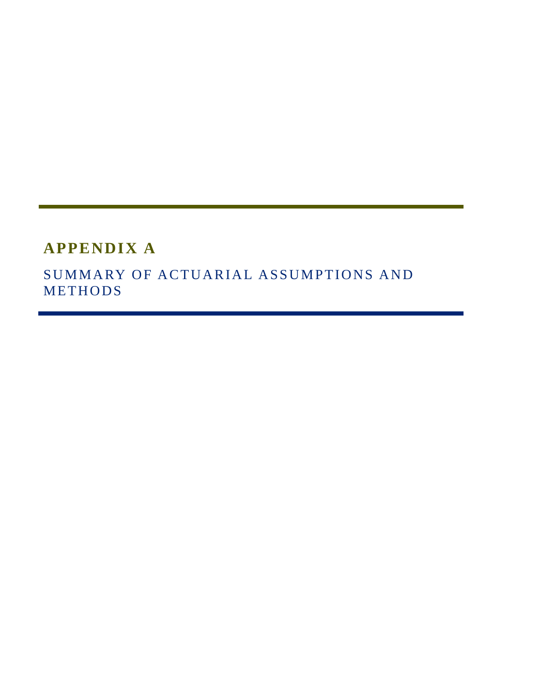# **APPENDIX A**

SUMMARY OF ACTUARIAL ASSUMPTIONS AND **METHODS**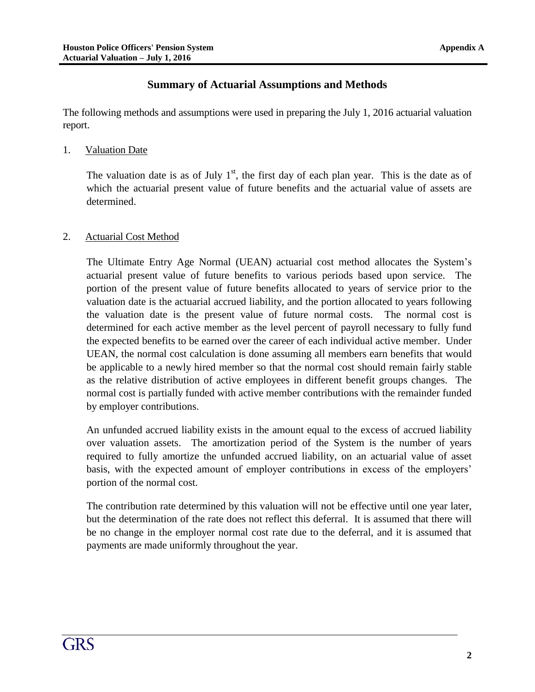#### **Summary of Actuarial Assumptions and Methods**

The following methods and assumptions were used in preparing the July 1, 2016 actuarial valuation report.

#### 1. Valuation Date

The valuation date is as of July  $1<sup>st</sup>$ , the first day of each plan year. This is the date as of which the actuarial present value of future benefits and the actuarial value of assets are determined.

#### 2. Actuarial Cost Method

The Ultimate Entry Age Normal (UEAN) actuarial cost method allocates the System's actuarial present value of future benefits to various periods based upon service. The portion of the present value of future benefits allocated to years of service prior to the valuation date is the actuarial accrued liability, and the portion allocated to years following the valuation date is the present value of future normal costs. The normal cost is determined for each active member as the level percent of payroll necessary to fully fund the expected benefits to be earned over the career of each individual active member. Under UEAN, the normal cost calculation is done assuming all members earn benefits that would be applicable to a newly hired member so that the normal cost should remain fairly stable as the relative distribution of active employees in different benefit groups changes. The normal cost is partially funded with active member contributions with the remainder funded by employer contributions.

An unfunded accrued liability exists in the amount equal to the excess of accrued liability over valuation assets. The amortization period of the System is the number of years required to fully amortize the unfunded accrued liability, on an actuarial value of asset basis, with the expected amount of employer contributions in excess of the employers' portion of the normal cost.

The contribution rate determined by this valuation will not be effective until one year later, but the determination of the rate does not reflect this deferral. It is assumed that there will be no change in the employer normal cost rate due to the deferral, and it is assumed that payments are made uniformly throughout the year.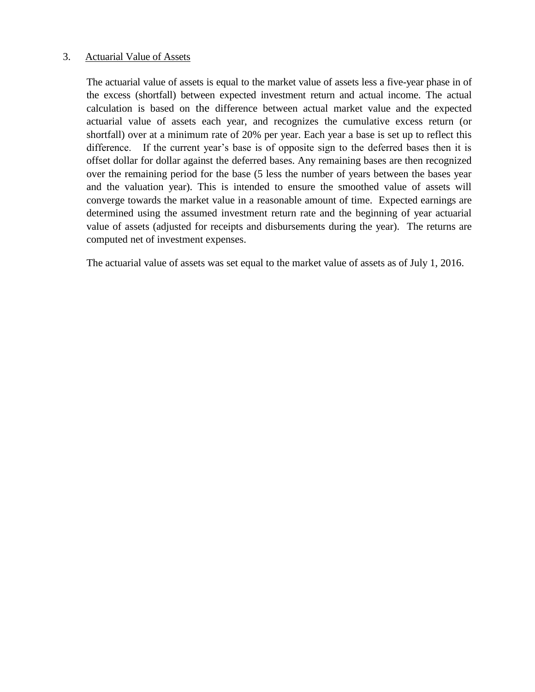#### 3. Actuarial Value of Assets

The actuarial value of assets is equal to the market value of assets less a five-year phase in of the excess (shortfall) between expected investment return and actual income. The actual calculation is based on the difference between actual market value and the expected actuarial value of assets each year, and recognizes the cumulative excess return (or shortfall) over at a minimum rate of 20% per year. Each year a base is set up to reflect this difference. If the current year's base is of opposite sign to the deferred bases then it is offset dollar for dollar against the deferred bases. Any remaining bases are then recognized over the remaining period for the base (5 less the number of years between the bases year and the valuation year). This is intended to ensure the smoothed value of assets will converge towards the market value in a reasonable amount of time. Expected earnings are determined using the assumed investment return rate and the beginning of year actuarial value of assets (adjusted for receipts and disbursements during the year). The returns are computed net of investment expenses.

The actuarial value of assets was set equal to the market value of assets as of July 1, 2016.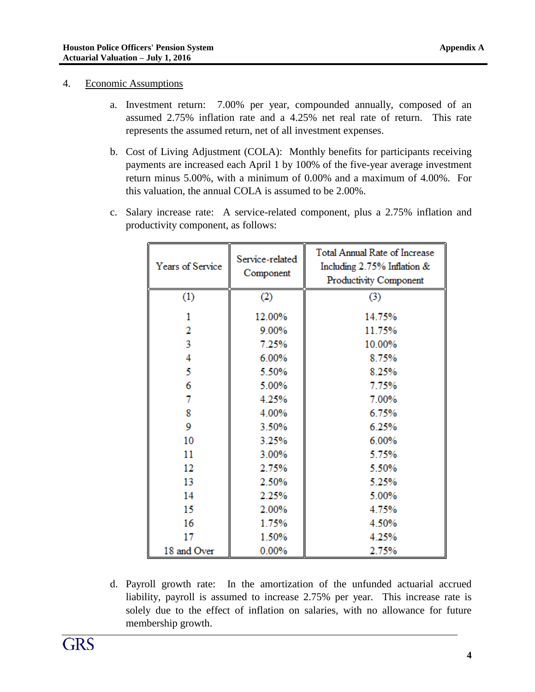#### 4. Economic Assumptions

- a. Investment return: 7.00% per year, compounded annually, composed of an assumed 2.75% inflation rate and a 4.25% net real rate of return. This rate represents the assumed return, net of all investment expenses.
- b. Cost of Living Adjustment (COLA): Monthly benefits for participants receiving payments are increased each April 1 by 100% of the five-year average investment return minus 5.00%, with a minimum of 0.00% and a maximum of 4.00%. For this valuation, the annual COLA is assumed to be 2.00%.
- c. Salary increase rate: A service-related component, plus a 2.75% inflation and productivity component, as follows:

| Years of Service | Service-related<br>Component | <b>Total Annual Rate of Increase</b><br>Including 2.75% Inflation &<br>Productivity Component |
|------------------|------------------------------|-----------------------------------------------------------------------------------------------|
| (1)              | (2)                          | (3)                                                                                           |
| 1                | 12.00%                       | 14.75%                                                                                        |
| 2                | 9.00%                        | 11.75%                                                                                        |
| 3                | 7.25%                        | 10.00%                                                                                        |
| 4                | $6.00\%$                     | 8.75%                                                                                         |
| 5                | 5.50%                        | 8.25%                                                                                         |
| 6                | 5.00%                        | 7.75%                                                                                         |
| 7                | 4.25%                        | 7.00%                                                                                         |
| 8                | 4.00%                        | 6.75%                                                                                         |
| 9                | 3.50%                        | 6.25%                                                                                         |
| 10               | 3.25%                        | $6.00\%$                                                                                      |
| 11               | 3.00%                        | 5.75%                                                                                         |
| 12               | 2.75%                        | 5.50%                                                                                         |
| 13               | 2.50%                        | 5.25%                                                                                         |
| 14               | 2.25%                        | 5.00%                                                                                         |
| 15               | 2.00%                        | 4.75%                                                                                         |
| 16               | 1.75%                        | 4.50%                                                                                         |
| 17               | 1.50%                        | 4.25%                                                                                         |
| 18 and Over      | $0.00\%$                     | 2.75%                                                                                         |

d. Payroll growth rate: In the amortization of the unfunded actuarial accrued liability, payroll is assumed to increase 2.75% per year. This increase rate is solely due to the effect of inflation on salaries, with no allowance for future membership growth.

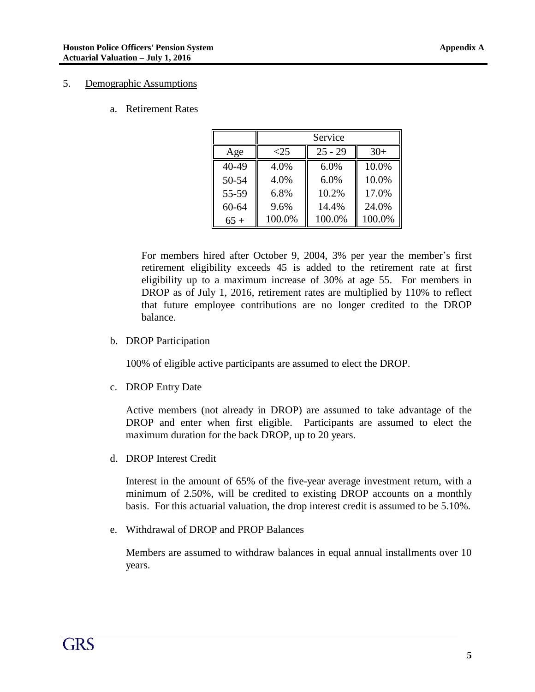#### 5. Demographic Assumptions

a. Retirement Rates

|           |         | Service   |        |  |  |  |
|-----------|---------|-----------|--------|--|--|--|
| Age       | ${<}25$ | $25 - 29$ | $30+$  |  |  |  |
| 40-49     | 4.0%    | 6.0%      | 10.0%  |  |  |  |
| $50-54$   | 4.0%    | 6.0%      | 10.0%  |  |  |  |
| 55-59     | 6.8%    | 10.2%     | 17.0%  |  |  |  |
| $60 - 64$ | 9.6%    | 14.4%     | 24.0%  |  |  |  |
| $65 +$    | 100.0%  | 100.0%    | 100.0% |  |  |  |

For members hired after October 9, 2004, 3% per year the member's first retirement eligibility exceeds 45 is added to the retirement rate at first eligibility up to a maximum increase of 30% at age 55. For members in DROP as of July 1, 2016, retirement rates are multiplied by 110% to reflect that future employee contributions are no longer credited to the DROP balance.

b. DROP Participation

100% of eligible active participants are assumed to elect the DROP.

c. DROP Entry Date

Active members (not already in DROP) are assumed to take advantage of the DROP and enter when first eligible. Participants are assumed to elect the maximum duration for the back DROP, up to 20 years.

d. DROP Interest Credit

Interest in the amount of 65% of the five-year average investment return, with a minimum of 2.50%, will be credited to existing DROP accounts on a monthly basis. For this actuarial valuation, the drop interest credit is assumed to be 5.10%.

e. Withdrawal of DROP and PROP Balances

Members are assumed to withdraw balances in equal annual installments over 10 years.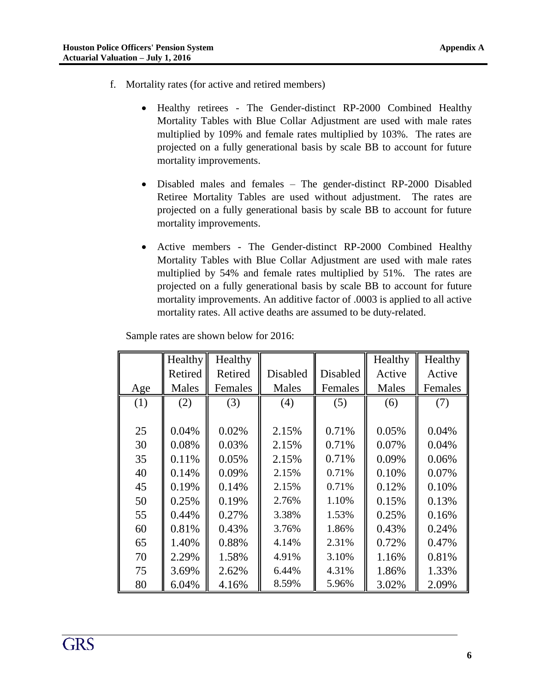- f. Mortality rates (for active and retired members)
	- Healthy retirees The Gender-distinct RP-2000 Combined Healthy Mortality Tables with Blue Collar Adjustment are used with male rates multiplied by 109% and female rates multiplied by 103%. The rates are projected on a fully generational basis by scale BB to account for future mortality improvements.
	- Disabled males and females The gender-distinct RP-2000 Disabled Retiree Mortality Tables are used without adjustment. The rates are projected on a fully generational basis by scale BB to account for future mortality improvements.
	- Active members The Gender-distinct RP-2000 Combined Healthy Mortality Tables with Blue Collar Adjustment are used with male rates multiplied by 54% and female rates multiplied by 51%. The rates are projected on a fully generational basis by scale BB to account for future mortality improvements. An additive factor of .0003 is applied to all active mortality rates. All active deaths are assumed to be duty-related.

|     | Healthy | Healthy |          |          | Healthy | Healthy |
|-----|---------|---------|----------|----------|---------|---------|
|     | Retired | Retired | Disabled | Disabled | Active  | Active  |
| Age | Males   | Females | Males    | Females  | Males   | Females |
| (1) | (2)     | (3)     | (4)      | (5)      | (6)     | (7)     |
|     |         |         |          |          |         |         |
| 25  | 0.04%   | 0.02%   | 2.15%    | 0.71%    | 0.05%   | 0.04%   |
| 30  | 0.08%   | 0.03%   | 2.15%    | 0.71%    | 0.07%   | 0.04%   |
| 35  | 0.11%   | 0.05%   | 2.15%    | 0.71%    | 0.09%   | 0.06%   |
| 40  | 0.14%   | 0.09%   | 2.15%    | 0.71%    | 0.10%   | 0.07%   |
| 45  | 0.19%   | 0.14%   | 2.15%    | 0.71%    | 0.12%   | 0.10%   |
| 50  | 0.25%   | 0.19%   | 2.76%    | 1.10%    | 0.15%   | 0.13%   |
| 55  | 0.44%   | 0.27%   | 3.38%    | 1.53%    | 0.25%   | 0.16%   |
| 60  | 0.81%   | 0.43%   | 3.76%    | 1.86%    | 0.43%   | 0.24%   |
| 65  | 1.40%   | 0.88%   | 4.14%    | 2.31%    | 0.72%   | 0.47%   |
| 70  | 2.29%   | 1.58%   | 4.91%    | 3.10%    | 1.16%   | 0.81%   |
| 75  | 3.69%   | 2.62%   | 6.44%    | 4.31%    | 1.86%   | 1.33%   |
| 80  | 6.04%   | 4.16%   | 8.59%    | 5.96%    | 3.02%   | 2.09%   |

Sample rates are shown below for 2016: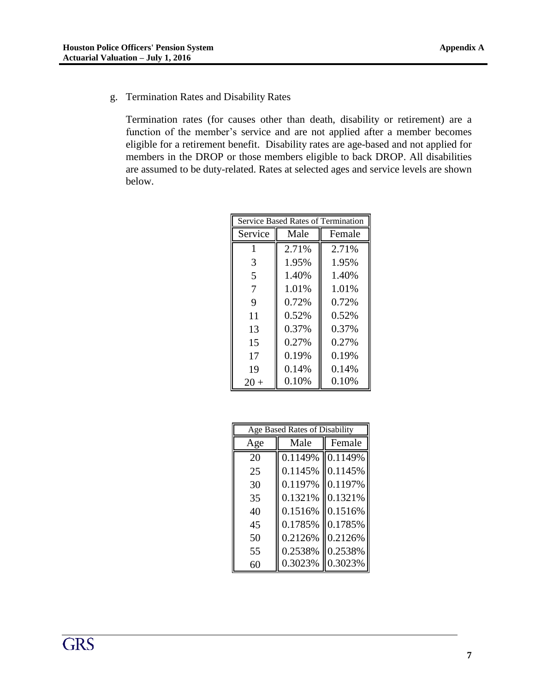g. Termination Rates and Disability Rates

Termination rates (for causes other than death, disability or retirement) are a function of the member's service and are not applied after a member becomes eligible for a retirement benefit. Disability rates are age-based and not applied for members in the DROP or those members eligible to back DROP. All disabilities are assumed to be duty-related. Rates at selected ages and service levels are shown below.

| Service Based Rates of Termination |       |        |  |  |  |
|------------------------------------|-------|--------|--|--|--|
| Service                            | Male  | Female |  |  |  |
|                                    | 2.71% | 2.71%  |  |  |  |
| 3                                  | 1.95% | 1.95%  |  |  |  |
| 5                                  | 1.40% | 1.40%  |  |  |  |
| 7                                  | 1.01% | 1.01%  |  |  |  |
| 9                                  | 0.72% | 0.72%  |  |  |  |
| 11                                 | 0.52% | 0.52%  |  |  |  |
| 13                                 | 0.37% | 0.37%  |  |  |  |
| 15                                 | 0.27% | 0.27%  |  |  |  |
| 17                                 | 0.19% | 0.19%  |  |  |  |
| 19                                 | 0.14% | 0.14%  |  |  |  |
| 20                                 | 0.10% | 0.10%  |  |  |  |

| Age Based Rates of Disability |         |         |  |  |  |  |
|-------------------------------|---------|---------|--|--|--|--|
| Age                           | Male    | Female  |  |  |  |  |
| 20                            | 0.1149% | 0.1149% |  |  |  |  |
| 25                            | 0.1145% | 0.1145% |  |  |  |  |
| 30                            | 0.1197% | 0.1197% |  |  |  |  |
| 35                            | 0.1321% | 0.1321% |  |  |  |  |
| 40                            | 0.1516% | 0.1516% |  |  |  |  |
| 45                            | 0.1785% | 0.1785% |  |  |  |  |
| 50                            | 0.2126% | 0.2126% |  |  |  |  |
| 55                            | 0.2538% | 0.2538% |  |  |  |  |
| 60                            | 0.3023% | 0.3023% |  |  |  |  |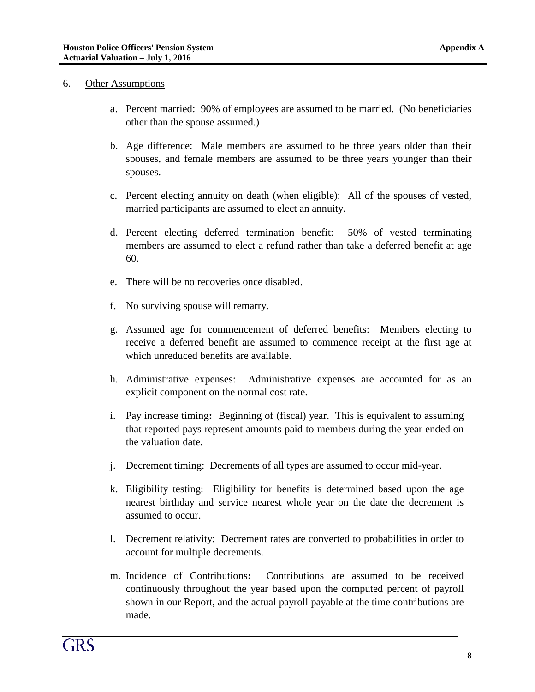#### 6. Other Assumptions

- a. Percent married: 90% of employees are assumed to be married. (No beneficiaries other than the spouse assumed.)
- b. Age difference: Male members are assumed to be three years older than their spouses, and female members are assumed to be three years younger than their spouses.
- c. Percent electing annuity on death (when eligible): All of the spouses of vested, married participants are assumed to elect an annuity.
- d. Percent electing deferred termination benefit: 50% of vested terminating members are assumed to elect a refund rather than take a deferred benefit at age 60.
- e. There will be no recoveries once disabled.
- f. No surviving spouse will remarry.
- g. Assumed age for commencement of deferred benefits: Members electing to receive a deferred benefit are assumed to commence receipt at the first age at which unreduced benefits are available.
- h. Administrative expenses: Administrative expenses are accounted for as an explicit component on the normal cost rate.
- i. Pay increase timing**:** Beginning of (fiscal) year. This is equivalent to assuming that reported pays represent amounts paid to members during the year ended on the valuation date.
- j. Decrement timing: Decrements of all types are assumed to occur mid-year.
- k. Eligibility testing: Eligibility for benefits is determined based upon the age nearest birthday and service nearest whole year on the date the decrement is assumed to occur.
- l. Decrement relativity: Decrement rates are converted to probabilities in order to account for multiple decrements.
- m. Incidence of Contributions**:** Contributions are assumed to be received continuously throughout the year based upon the computed percent of payroll shown in our Report, and the actual payroll payable at the time contributions are made.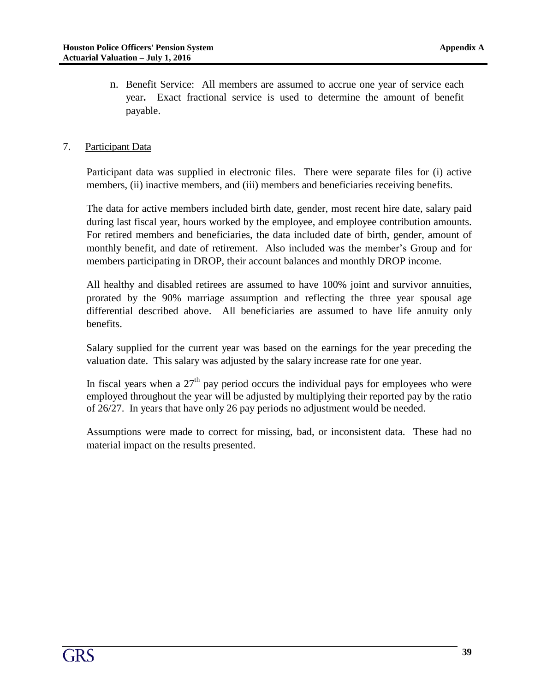n. Benefit Service: All members are assumed to accrue one year of service each year**.** Exact fractional service is used to determine the amount of benefit payable.

#### 7. Participant Data

Participant data was supplied in electronic files. There were separate files for (i) active members, (ii) inactive members, and (iii) members and beneficiaries receiving benefits.

The data for active members included birth date, gender, most recent hire date, salary paid during last fiscal year, hours worked by the employee, and employee contribution amounts. For retired members and beneficiaries, the data included date of birth, gender, amount of monthly benefit, and date of retirement. Also included was the member's Group and for members participating in DROP, their account balances and monthly DROP income.

All healthy and disabled retirees are assumed to have 100% joint and survivor annuities, prorated by the 90% marriage assumption and reflecting the three year spousal age differential described above. All beneficiaries are assumed to have life annuity only benefits.

Salary supplied for the current year was based on the earnings for the year preceding the valuation date. This salary was adjusted by the salary increase rate for one year.

In fiscal years when a  $27<sup>th</sup>$  pay period occurs the individual pays for employees who were employed throughout the year will be adjusted by multiplying their reported pay by the ratio of 26/27. In years that have only 26 pay periods no adjustment would be needed.

Assumptions were made to correct for missing, bad, or inconsistent data. These had no material impact on the results presented.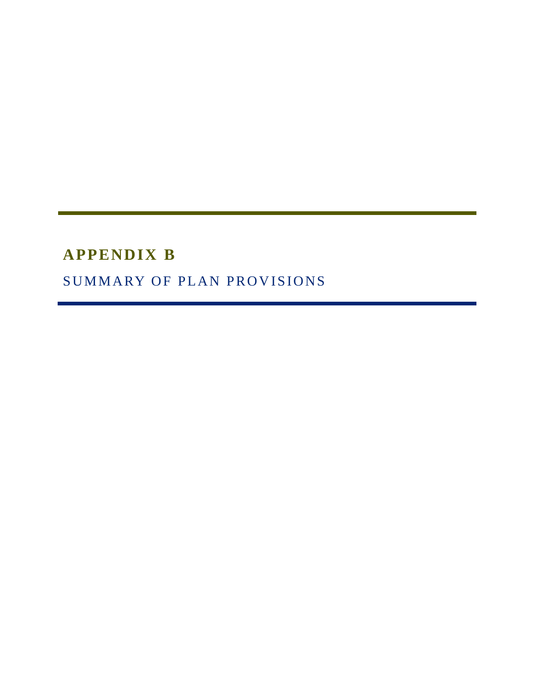# **APPENDIX B**

# SUMMARY OF PLAN PROVISIONS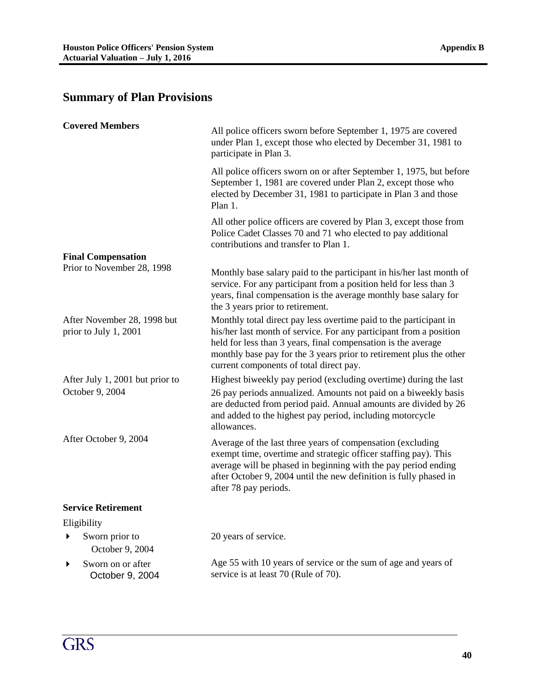| <b>Covered Members</b>                               | All police officers sworn before September 1, 1975 are covered<br>under Plan 1, except those who elected by December 31, 1981 to<br>participate in Plan 3.                                                                                                                                                                 |
|------------------------------------------------------|----------------------------------------------------------------------------------------------------------------------------------------------------------------------------------------------------------------------------------------------------------------------------------------------------------------------------|
|                                                      | All police officers sworn on or after September 1, 1975, but before<br>September 1, 1981 are covered under Plan 2, except those who<br>elected by December 31, 1981 to participate in Plan 3 and those<br>Plan 1.                                                                                                          |
|                                                      | All other police officers are covered by Plan 3, except those from<br>Police Cadet Classes 70 and 71 who elected to pay additional<br>contributions and transfer to Plan 1.                                                                                                                                                |
| <b>Final Compensation</b>                            |                                                                                                                                                                                                                                                                                                                            |
| Prior to November 28, 1998                           | Monthly base salary paid to the participant in his/her last month of<br>service. For any participant from a position held for less than 3<br>years, final compensation is the average monthly base salary for<br>the 3 years prior to retirement.                                                                          |
| After November 28, 1998 but<br>prior to July 1, 2001 | Monthly total direct pay less overtime paid to the participant in<br>his/her last month of service. For any participant from a position<br>held for less than 3 years, final compensation is the average<br>monthly base pay for the 3 years prior to retirement plus the other<br>current components of total direct pay. |
| After July 1, 2001 but prior to                      | Highest biweekly pay period (excluding overtime) during the last                                                                                                                                                                                                                                                           |
| October 9, 2004                                      | 26 pay periods annualized. Amounts not paid on a biweekly basis<br>are deducted from period paid. Annual amounts are divided by 26<br>and added to the highest pay period, including motorcycle<br>allowances.                                                                                                             |
| After October 9, 2004                                | Average of the last three years of compensation (excluding<br>exempt time, overtime and strategic officer staffing pay). This<br>average will be phased in beginning with the pay period ending<br>after October 9, 2004 until the new definition is fully phased in<br>after 78 pay periods.                              |
| <b>Service Retirement</b>                            |                                                                                                                                                                                                                                                                                                                            |
| Eligibility                                          |                                                                                                                                                                                                                                                                                                                            |
| Sworn prior to<br>October 9, 2004                    | 20 years of service.                                                                                                                                                                                                                                                                                                       |
| Sworn on or after<br>October 9, 2004                 | Age 55 with 10 years of service or the sum of age and years of<br>service is at least 70 (Rule of 70).                                                                                                                                                                                                                     |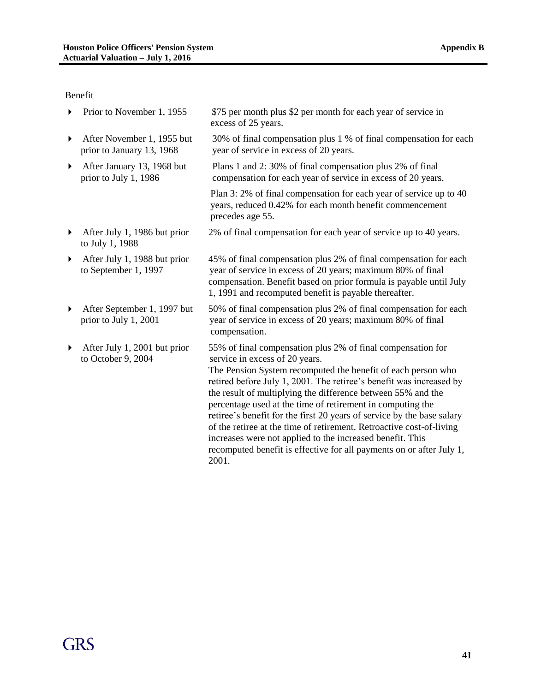Benefit

| ▶ | Prior to November 1, 1955                               | \$75 per month plus \$2 per month for each year of service in<br>excess of 25 years.                                                                                                                                                                                                                                                                                                                                                                                                                                                                                                                                                                               |
|---|---------------------------------------------------------|--------------------------------------------------------------------------------------------------------------------------------------------------------------------------------------------------------------------------------------------------------------------------------------------------------------------------------------------------------------------------------------------------------------------------------------------------------------------------------------------------------------------------------------------------------------------------------------------------------------------------------------------------------------------|
| ▶ | After November 1, 1955 but<br>prior to January 13, 1968 | 30% of final compensation plus 1 % of final compensation for each<br>year of service in excess of 20 years.                                                                                                                                                                                                                                                                                                                                                                                                                                                                                                                                                        |
| ▶ | After January 13, 1968 but<br>prior to July 1, 1986     | Plans 1 and 2:30% of final compensation plus 2% of final<br>compensation for each year of service in excess of 20 years.                                                                                                                                                                                                                                                                                                                                                                                                                                                                                                                                           |
|   |                                                         | Plan 3:2% of final compensation for each year of service up to 40<br>years, reduced 0.42% for each month benefit commencement<br>precedes age 55.                                                                                                                                                                                                                                                                                                                                                                                                                                                                                                                  |
| ▶ | After July 1, 1986 but prior<br>to July 1, 1988         | 2% of final compensation for each year of service up to 40 years.                                                                                                                                                                                                                                                                                                                                                                                                                                                                                                                                                                                                  |
| ▶ | After July 1, 1988 but prior<br>to September 1, 1997    | 45% of final compensation plus 2% of final compensation for each<br>year of service in excess of 20 years; maximum 80% of final<br>compensation. Benefit based on prior formula is payable until July<br>1, 1991 and recomputed benefit is payable thereafter.                                                                                                                                                                                                                                                                                                                                                                                                     |
| ▶ | After September 1, 1997 but<br>prior to July 1, 2001    | 50% of final compensation plus 2% of final compensation for each<br>year of service in excess of 20 years; maximum 80% of final<br>compensation.                                                                                                                                                                                                                                                                                                                                                                                                                                                                                                                   |
|   | After July 1, 2001 but prior<br>to October 9, 2004      | 55% of final compensation plus 2% of final compensation for<br>service in excess of 20 years.<br>The Pension System recomputed the benefit of each person who<br>retired before July 1, 2001. The retiree's benefit was increased by<br>the result of multiplying the difference between 55% and the<br>percentage used at the time of retirement in computing the<br>retiree's benefit for the first 20 years of service by the base salary<br>of the retiree at the time of retirement. Retroactive cost-of-living<br>increases were not applied to the increased benefit. This<br>recomputed benefit is effective for all payments on or after July 1,<br>2001. |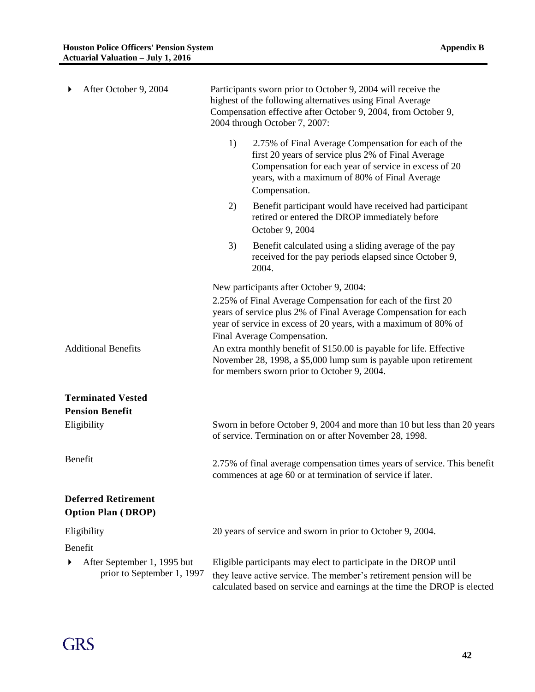| After October 9, 2004                                                                                                                                                                                                                                                           | Participants sworn prior to October 9, 2004 will receive the<br>highest of the following alternatives using Final Average<br>Compensation effective after October 9, 2004, from October 9,<br>2004 through October 7, 2007:                                                                                                                                                                                                 |  |  |  |
|---------------------------------------------------------------------------------------------------------------------------------------------------------------------------------------------------------------------------------------------------------------------------------|-----------------------------------------------------------------------------------------------------------------------------------------------------------------------------------------------------------------------------------------------------------------------------------------------------------------------------------------------------------------------------------------------------------------------------|--|--|--|
|                                                                                                                                                                                                                                                                                 | 1)<br>2.75% of Final Average Compensation for each of the<br>first 20 years of service plus 2% of Final Average<br>Compensation for each year of service in excess of 20<br>years, with a maximum of 80% of Final Average<br>Compensation.                                                                                                                                                                                  |  |  |  |
|                                                                                                                                                                                                                                                                                 | 2)<br>Benefit participant would have received had participant<br>retired or entered the DROP immediately before<br>October 9, 2004                                                                                                                                                                                                                                                                                          |  |  |  |
|                                                                                                                                                                                                                                                                                 | 3)<br>Benefit calculated using a sliding average of the pay<br>received for the pay periods elapsed since October 9,<br>2004.                                                                                                                                                                                                                                                                                               |  |  |  |
|                                                                                                                                                                                                                                                                                 | New participants after October 9, 2004:                                                                                                                                                                                                                                                                                                                                                                                     |  |  |  |
| <b>Additional Benefits</b>                                                                                                                                                                                                                                                      | 2.25% of Final Average Compensation for each of the first 20<br>years of service plus 2% of Final Average Compensation for each<br>year of service in excess of 20 years, with a maximum of 80% of<br>Final Average Compensation.<br>An extra monthly benefit of \$150.00 is payable for life. Effective<br>November 28, 1998, a \$5,000 lump sum is payable upon retirement<br>for members sworn prior to October 9, 2004. |  |  |  |
| <b>Terminated Vested</b>                                                                                                                                                                                                                                                        |                                                                                                                                                                                                                                                                                                                                                                                                                             |  |  |  |
| <b>Pension Benefit</b>                                                                                                                                                                                                                                                          |                                                                                                                                                                                                                                                                                                                                                                                                                             |  |  |  |
| Eligibility                                                                                                                                                                                                                                                                     | Sworn in before October 9, 2004 and more than 10 but less than 20 years<br>of service. Termination on or after November 28, 1998.                                                                                                                                                                                                                                                                                           |  |  |  |
| Benefit                                                                                                                                                                                                                                                                         | 2.75% of final average compensation times years of service. This benefit<br>commences at age 60 or at termination of service if later.                                                                                                                                                                                                                                                                                      |  |  |  |
| <b>Deferred Retirement</b>                                                                                                                                                                                                                                                      |                                                                                                                                                                                                                                                                                                                                                                                                                             |  |  |  |
| <b>Option Plan (DROP)</b>                                                                                                                                                                                                                                                       |                                                                                                                                                                                                                                                                                                                                                                                                                             |  |  |  |
| Eligibility                                                                                                                                                                                                                                                                     | 20 years of service and sworn in prior to October 9, 2004.                                                                                                                                                                                                                                                                                                                                                                  |  |  |  |
| Benefit                                                                                                                                                                                                                                                                         |                                                                                                                                                                                                                                                                                                                                                                                                                             |  |  |  |
| After September 1, 1995 but<br>Eligible participants may elect to participate in the DROP until<br>prior to September 1, 1997<br>they leave active service. The member's retirement pension will be<br>calculated based on service and earnings at the time the DROP is elected |                                                                                                                                                                                                                                                                                                                                                                                                                             |  |  |  |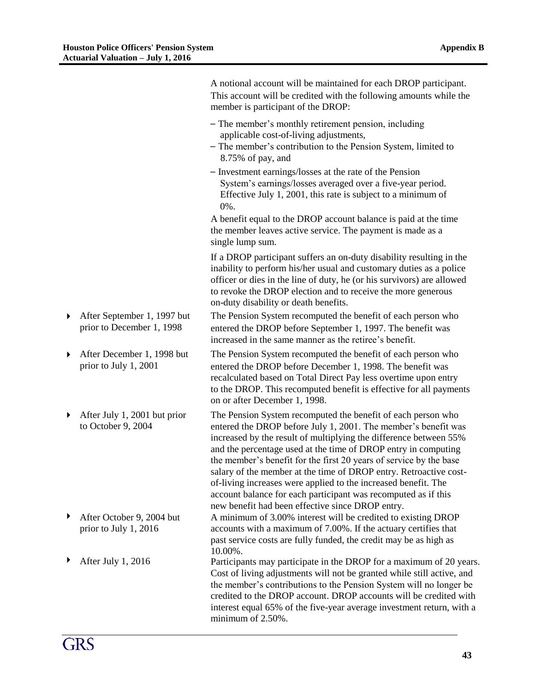|   |                                                          | - The member's monthly retirement pension, including<br>applicable cost-of-living adjustments,<br>- The member's contribution to the Pension System, limited to<br>8.75% of pay, and                                                                                                                                                                                                                                                                                                                                                                                                                     |
|---|----------------------------------------------------------|----------------------------------------------------------------------------------------------------------------------------------------------------------------------------------------------------------------------------------------------------------------------------------------------------------------------------------------------------------------------------------------------------------------------------------------------------------------------------------------------------------------------------------------------------------------------------------------------------------|
|   |                                                          | - Investment earnings/losses at the rate of the Pension<br>System's earnings/losses averaged over a five-year period.<br>Effective July 1, 2001, this rate is subject to a minimum of<br>0%.                                                                                                                                                                                                                                                                                                                                                                                                             |
|   |                                                          | A benefit equal to the DROP account balance is paid at the time<br>the member leaves active service. The payment is made as a<br>single lump sum.                                                                                                                                                                                                                                                                                                                                                                                                                                                        |
|   |                                                          | If a DROP participant suffers an on-duty disability resulting in the<br>inability to perform his/her usual and customary duties as a police<br>officer or dies in the line of duty, he (or his survivors) are allowed<br>to revoke the DROP election and to receive the more generous<br>on-duty disability or death benefits.                                                                                                                                                                                                                                                                           |
| ▶ | After September 1, 1997 but<br>prior to December 1, 1998 | The Pension System recomputed the benefit of each person who<br>entered the DROP before September 1, 1997. The benefit was<br>increased in the same manner as the retiree's benefit.                                                                                                                                                                                                                                                                                                                                                                                                                     |
| ▶ | After December 1, 1998 but<br>prior to July 1, 2001      | The Pension System recomputed the benefit of each person who<br>entered the DROP before December 1, 1998. The benefit was<br>recalculated based on Total Direct Pay less overtime upon entry<br>to the DROP. This recomputed benefit is effective for all payments<br>on or after December 1, 1998.                                                                                                                                                                                                                                                                                                      |
| ▶ | After July 1, 2001 but prior<br>to October 9, 2004       | The Pension System recomputed the benefit of each person who<br>entered the DROP before July 1, 2001. The member's benefit was<br>increased by the result of multiplying the difference between 55%<br>and the percentage used at the time of DROP entry in computing<br>the member's benefit for the first 20 years of service by the base<br>salary of the member at the time of DROP entry. Retroactive cost-<br>of-living increases were applied to the increased benefit. The<br>account balance for each participant was recomputed as if this<br>new benefit had been effective since DROP entry. |
| ▶ | After October 9, 2004 but<br>prior to July 1, 2016       | A minimum of 3.00% interest will be credited to existing DROP<br>accounts with a maximum of 7.00%. If the actuary certifies that<br>past service costs are fully funded, the credit may be as high as<br>10.00%.                                                                                                                                                                                                                                                                                                                                                                                         |
| ▶ | After July 1, 2016                                       | Participants may participate in the DROP for a maximum of 20 years.<br>Cost of living adjustments will not be granted while still active, and<br>the member's contributions to the Pension System will no longer be<br>credited to the DROP account. DROP accounts will be credited with<br>interest equal 65% of the five-year average investment return, with a<br>minimum of 2.50%.                                                                                                                                                                                                                   |

member is participant of the DROP:

A notional account will be maintained for each DROP participant. This account will be credited with the following amounts while the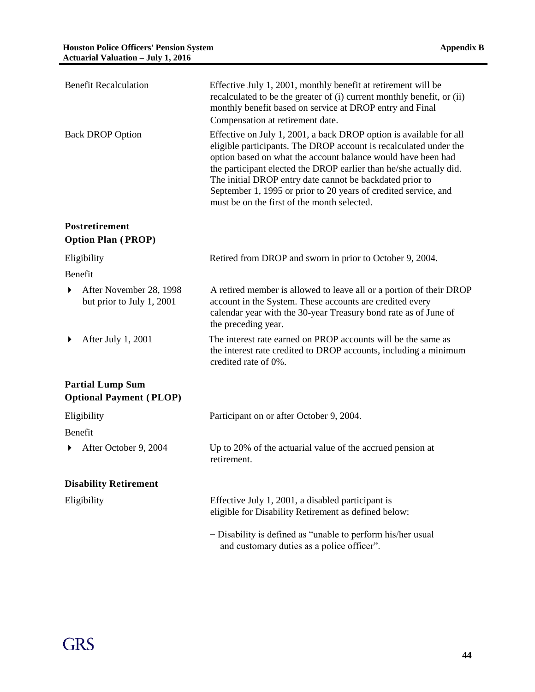| <b>Benefit Recalculation</b>                              | Effective July 1, 2001, monthly benefit at retirement will be<br>recalculated to be the greater of (i) current monthly benefit, or (ii)<br>monthly benefit based on service at DROP entry and Final<br>Compensation at retirement date.                                                                                                                                                                                                                     |  |
|-----------------------------------------------------------|-------------------------------------------------------------------------------------------------------------------------------------------------------------------------------------------------------------------------------------------------------------------------------------------------------------------------------------------------------------------------------------------------------------------------------------------------------------|--|
| <b>Back DROP Option</b>                                   | Effective on July 1, 2001, a back DROP option is available for all<br>eligible participants. The DROP account is recalculated under the<br>option based on what the account balance would have been had<br>the participant elected the DROP earlier than he/she actually did.<br>The initial DROP entry date cannot be backdated prior to<br>September 1, 1995 or prior to 20 years of credited service, and<br>must be on the first of the month selected. |  |
| Postretirement<br><b>Option Plan (PROP)</b>               |                                                                                                                                                                                                                                                                                                                                                                                                                                                             |  |
| Eligibility                                               | Retired from DROP and sworn in prior to October 9, 2004.                                                                                                                                                                                                                                                                                                                                                                                                    |  |
| Benefit                                                   |                                                                                                                                                                                                                                                                                                                                                                                                                                                             |  |
| After November 28, 1998<br>but prior to July 1, 2001      | A retired member is allowed to leave all or a portion of their DROP<br>account in the System. These accounts are credited every<br>calendar year with the 30-year Treasury bond rate as of June of<br>the preceding year.                                                                                                                                                                                                                                   |  |
| After July 1, 2001                                        | The interest rate earned on PROP accounts will be the same as<br>the interest rate credited to DROP accounts, including a minimum<br>credited rate of 0%.                                                                                                                                                                                                                                                                                                   |  |
| <b>Partial Lump Sum</b><br><b>Optional Payment (PLOP)</b> |                                                                                                                                                                                                                                                                                                                                                                                                                                                             |  |
|                                                           |                                                                                                                                                                                                                                                                                                                                                                                                                                                             |  |
| Eligibility<br>Benefit                                    | Participant on or after October 9, 2004.                                                                                                                                                                                                                                                                                                                                                                                                                    |  |
| After October 9, 2004                                     | Up to 20% of the actuarial value of the accrued pension at<br>retirement.                                                                                                                                                                                                                                                                                                                                                                                   |  |
| <b>Disability Retirement</b>                              |                                                                                                                                                                                                                                                                                                                                                                                                                                                             |  |
| Eligibility                                               | Effective July 1, 2001, a disabled participant is<br>eligible for Disability Retirement as defined below:                                                                                                                                                                                                                                                                                                                                                   |  |
|                                                           | - Disability is defined as "unable to perform his/her usual<br>and customary duties as a police officer".                                                                                                                                                                                                                                                                                                                                                   |  |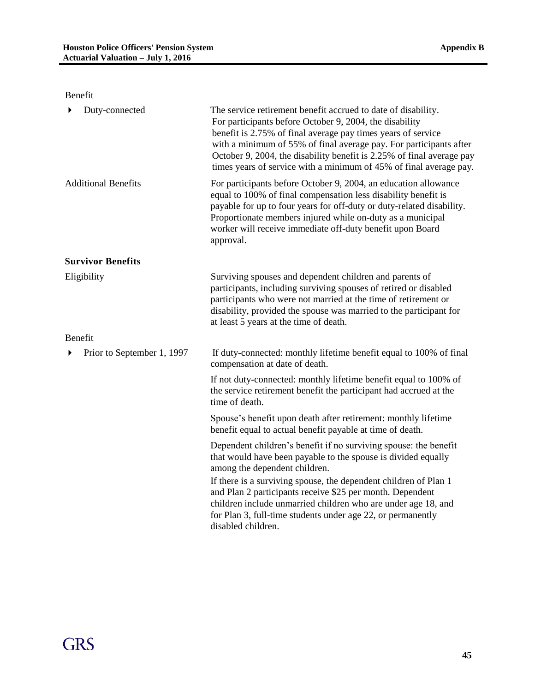#### Benefit

| Duty-connected<br>▶        | The service retirement benefit accrued to date of disability.<br>For participants before October 9, 2004, the disability<br>benefit is 2.75% of final average pay times years of service<br>with a minimum of 55% of final average pay. For participants after<br>October 9, 2004, the disability benefit is 2.25% of final average pay<br>times years of service with a minimum of 45% of final average pay. |  |  |
|----------------------------|---------------------------------------------------------------------------------------------------------------------------------------------------------------------------------------------------------------------------------------------------------------------------------------------------------------------------------------------------------------------------------------------------------------|--|--|
| <b>Additional Benefits</b> | For participants before October 9, 2004, an education allowance<br>equal to 100% of final compensation less disability benefit is<br>payable for up to four years for off-duty or duty-related disability.<br>Proportionate members injured while on-duty as a municipal<br>worker will receive immediate off-duty benefit upon Board<br>approval.                                                            |  |  |
| <b>Survivor Benefits</b>   |                                                                                                                                                                                                                                                                                                                                                                                                               |  |  |
| Eligibility                | Surviving spouses and dependent children and parents of<br>participants, including surviving spouses of retired or disabled<br>participants who were not married at the time of retirement or<br>disability, provided the spouse was married to the participant for<br>at least 5 years at the time of death.                                                                                                 |  |  |
| Benefit                    |                                                                                                                                                                                                                                                                                                                                                                                                               |  |  |
| Prior to September 1, 1997 | If duty-connected: monthly lifetime benefit equal to 100% of final<br>compensation at date of death.                                                                                                                                                                                                                                                                                                          |  |  |
|                            | If not duty-connected: monthly lifetime benefit equal to 100% of<br>the service retirement benefit the participant had accrued at the<br>time of death.                                                                                                                                                                                                                                                       |  |  |
|                            | Spouse's benefit upon death after retirement: monthly lifetime<br>benefit equal to actual benefit payable at time of death.                                                                                                                                                                                                                                                                                   |  |  |
|                            | Dependent children's benefit if no surviving spouse: the benefit<br>that would have been payable to the spouse is divided equally<br>among the dependent children.                                                                                                                                                                                                                                            |  |  |
|                            | If there is a surviving spouse, the dependent children of Plan 1<br>and Plan 2 participants receive \$25 per month. Dependent<br>children include unmarried children who are under age 18, and<br>for Plan 3, full-time students under age 22, or permanently<br>disabled children.                                                                                                                           |  |  |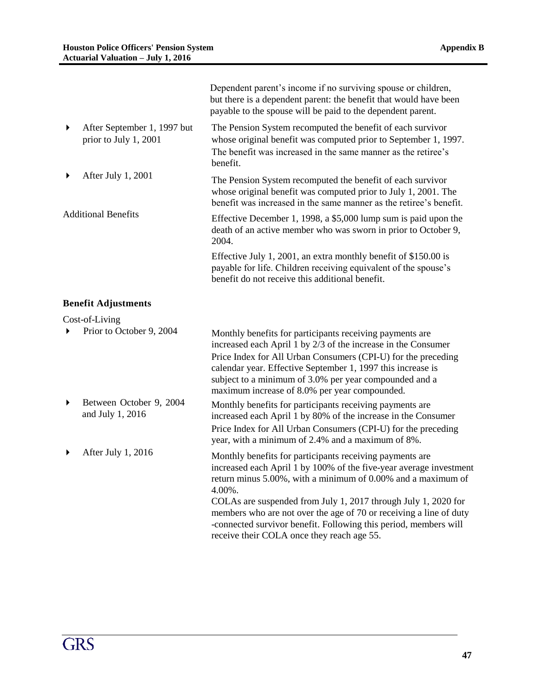|                                                                               | Dependent parent's income if no surviving spouse or children,<br>but there is a dependent parent: the benefit that would have been<br>payable to the spouse will be paid to the dependent parent.          |
|-------------------------------------------------------------------------------|------------------------------------------------------------------------------------------------------------------------------------------------------------------------------------------------------------|
| After September 1, 1997 but<br>$\blacktriangleright$<br>prior to July 1, 2001 | The Pension System recomputed the benefit of each survivor<br>whose original benefit was computed prior to September 1, 1997.<br>The benefit was increased in the same manner as the retiree's<br>benefit. |
| After July 1, 2001<br>▶                                                       | The Pension System recomputed the benefit of each survivor<br>whose original benefit was computed prior to July 1, 2001. The<br>benefit was increased in the same manner as the retiree's benefit.         |
| <b>Additional Benefits</b>                                                    | Effective December 1, 1998, a \$5,000 lump sum is paid upon the<br>death of an active member who was sworn in prior to October 9,<br>2004.                                                                 |
|                                                                               | Effective July 1, 2001, an extra monthly benefit of \$150.00 is<br>payable for life. Children receiving equivalent of the spouse's<br>benefit do not receive this additional benefit.                      |
| <b>Benefit Adjustments</b>                                                    |                                                                                                                                                                                                            |

Cost-of-Living

| ▶ | Prior to October 9, 2004                    | Monthly benefits for participants receiving payments are.<br>increased each April 1 by 2/3 of the increase in the Consumer<br>Price Index for All Urban Consumers (CPI-U) for the preceding<br>calendar year. Effective September 1, 1997 this increase is<br>subject to a minimum of 3.0% per year compounded and a<br>maximum increase of 8.0% per year compounded.                                                                                                   |
|---|---------------------------------------------|-------------------------------------------------------------------------------------------------------------------------------------------------------------------------------------------------------------------------------------------------------------------------------------------------------------------------------------------------------------------------------------------------------------------------------------------------------------------------|
| ▶ | Between October 9, 2004<br>and July 1, 2016 | Monthly benefits for participants receiving payments are<br>increased each April 1 by 80% of the increase in the Consumer<br>Price Index for All Urban Consumers (CPI-U) for the preceding<br>year, with a minimum of 2.4% and a maximum of 8%.                                                                                                                                                                                                                         |
| ▶ | After July 1, 2016                          | Monthly benefits for participants receiving payments are.<br>increased each April 1 by 100% of the five-year average investment<br>return minus 5.00%, with a minimum of 0.00% and a maximum of<br>$4.00\%$ .<br>COLAs are suspended from July 1, 2017 through July 1, 2020 for<br>members who are not over the age of 70 or receiving a line of duty<br>-connected survivor benefit. Following this period, members will<br>receive their COLA once they reach age 55. |

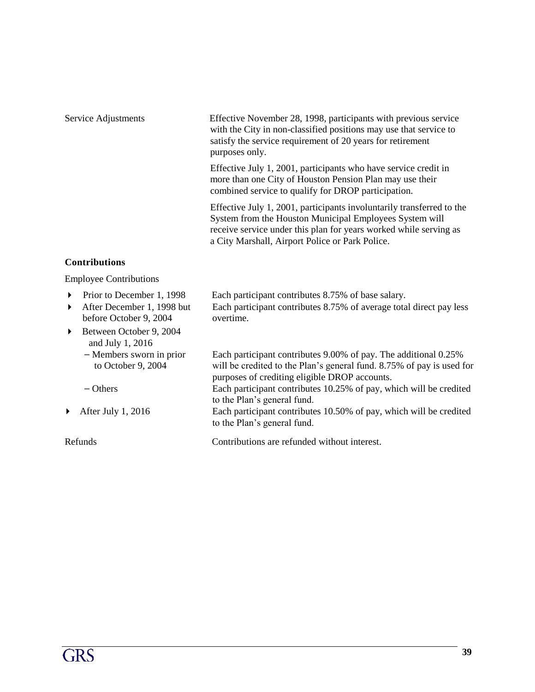| Service Adjustments |                                                                                   | Effective November 28, 1998, participants with previous service<br>with the City in non-classified positions may use that service to<br>satisfy the service requirement of 20 years for retirement<br>purposes only.                                     |  |  |  |
|---------------------|-----------------------------------------------------------------------------------|----------------------------------------------------------------------------------------------------------------------------------------------------------------------------------------------------------------------------------------------------------|--|--|--|
|                     |                                                                                   | Effective July 1, 2001, participants who have service credit in<br>more than one City of Houston Pension Plan may use their<br>combined service to qualify for DROP participation.                                                                       |  |  |  |
|                     |                                                                                   | Effective July 1, 2001, participants involuntarily transferred to the<br>System from the Houston Municipal Employees System will<br>receive service under this plan for years worked while serving as<br>a City Marshall, Airport Police or Park Police. |  |  |  |
|                     | <b>Contributions</b>                                                              |                                                                                                                                                                                                                                                          |  |  |  |
|                     | <b>Employee Contributions</b>                                                     |                                                                                                                                                                                                                                                          |  |  |  |
| ▶<br>▶              | Prior to December 1, 1998<br>After December 1, 1998 but<br>before October 9, 2004 | Each participant contributes 8.75% of base salary.<br>Each participant contributes 8.75% of average total direct pay less<br>overtime.                                                                                                                   |  |  |  |
| ▶                   | Between October 9, 2004<br>and $\text{Inly } 1$ 2016                              |                                                                                                                                                                                                                                                          |  |  |  |

| ▶ | Prior to December 1, 1998                            | Each participant contributes 8.75% of base salary.                                                                                                                                        |
|---|------------------------------------------------------|-------------------------------------------------------------------------------------------------------------------------------------------------------------------------------------------|
| ▶ | After December 1, 1998 but<br>before October 9, 2004 | Each participant contributes 8.75% of average total direct pay less<br>overtime.                                                                                                          |
| ▶ | Between October 9, 2004<br>and July 1, 2016          |                                                                                                                                                                                           |
|   | - Members sworn in prior<br>to October 9, 2004       | Each participant contributes 9.00% of pay. The additional 0.25%<br>will be credited to the Plan's general fund. 8.75% of pay is used for<br>purposes of crediting eligible DROP accounts. |
|   | $-$ Others                                           | Each participant contributes 10.25% of pay, which will be credited<br>to the Plan's general fund.                                                                                         |
|   | After July 1, 2016                                   | Each participant contributes 10.50% of pay, which will be credited<br>to the Plan's general fund.                                                                                         |
|   | Refunds                                              | Contributions are refunded without interest.                                                                                                                                              |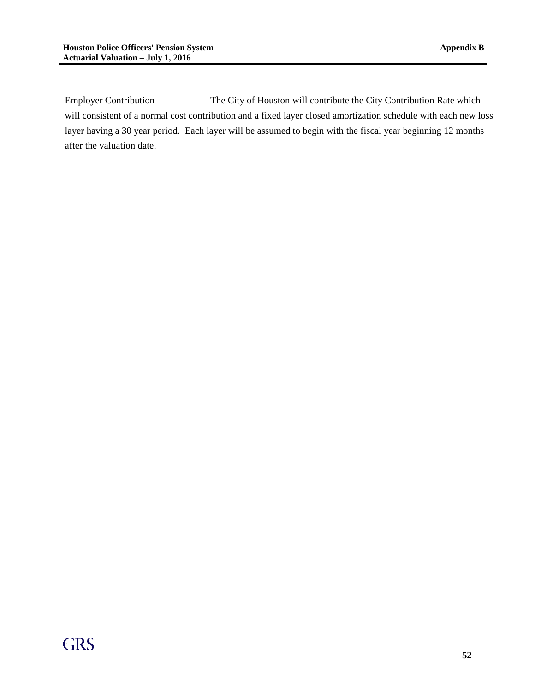Employer Contribution The City of Houston will contribute the City Contribution Rate which will consistent of a normal cost contribution and a fixed layer closed amortization schedule with each new loss layer having a 30 year period. Each layer will be assumed to begin with the fiscal year beginning 12 months after the valuation date.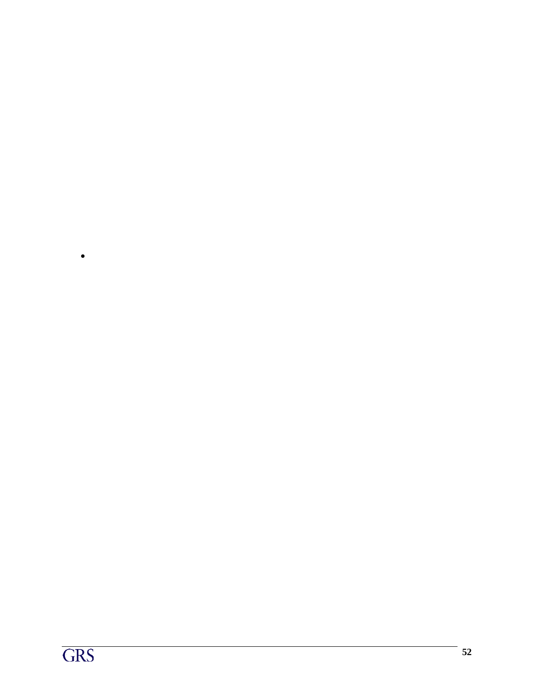# **GRS**

 $\bullet$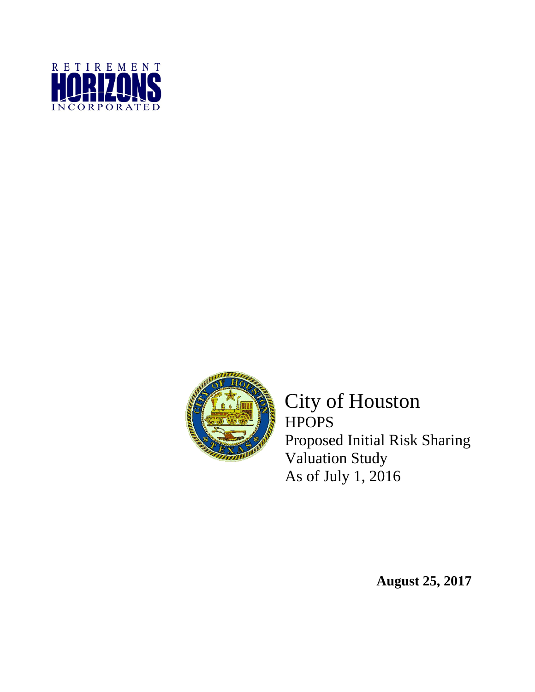



City of Houston **HPOPS** Proposed Initial Risk Sharing Valuation Study As of July 1, 2016

**August 25, 2017**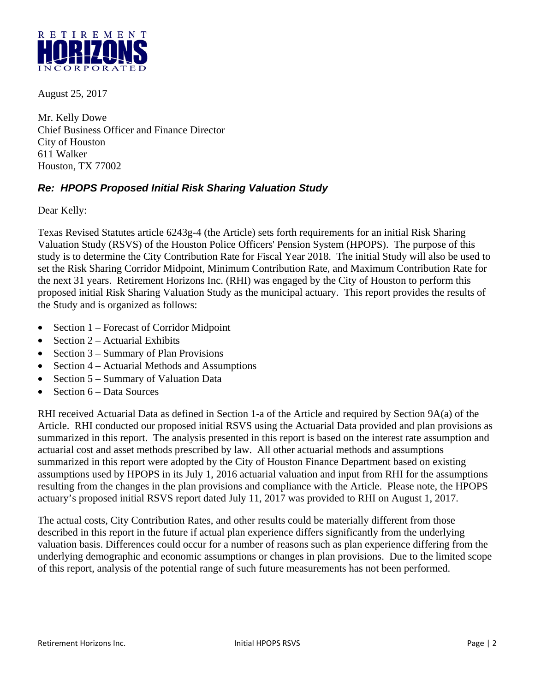

August 25, 2017

Mr. Kelly Dowe Chief Business Officer and Finance Director City of Houston 611 Walker Houston, TX 77002

#### *Re: HPOPS Proposed Initial Risk Sharing Valuation Study*

Dear Kelly:

Texas Revised Statutes article 6243g-4 (the Article) sets forth requirements for an initial Risk Sharing Valuation Study (RSVS) of the Houston Police Officers' Pension System (HPOPS). The purpose of this study is to determine the City Contribution Rate for Fiscal Year 2018. The initial Study will also be used to set the Risk Sharing Corridor Midpoint, Minimum Contribution Rate, and Maximum Contribution Rate for the next 31 years. Retirement Horizons Inc. (RHI) was engaged by the City of Houston to perform this proposed initial Risk Sharing Valuation Study as the municipal actuary. This report provides the results of the Study and is organized as follows:

- Section 1 Forecast of Corridor Midpoint
- Section  $2 -$  Actuarial Exhibits
- Section 3 Summary of Plan Provisions
- Section 4 Actuarial Methods and Assumptions
- Section 5 Summary of Valuation Data
- Section 6 Data Sources

RHI received Actuarial Data as defined in Section 1-a of the Article and required by Section 9A(a) of the Article. RHI conducted our proposed initial RSVS using the Actuarial Data provided and plan provisions as summarized in this report. The analysis presented in this report is based on the interest rate assumption and actuarial cost and asset methods prescribed by law. All other actuarial methods and assumptions summarized in this report were adopted by the City of Houston Finance Department based on existing assumptions used by HPOPS in its July 1, 2016 actuarial valuation and input from RHI for the assumptions resulting from the changes in the plan provisions and compliance with the Article. Please note, the HPOPS actuary's proposed initial RSVS report dated July 11, 2017 was provided to RHI on August 1, 2017.

The actual costs, City Contribution Rates, and other results could be materially different from those described in this report in the future if actual plan experience differs significantly from the underlying valuation basis. Differences could occur for a number of reasons such as plan experience differing from the underlying demographic and economic assumptions or changes in plan provisions. Due to the limited scope of this report, analysis of the potential range of such future measurements has not been performed.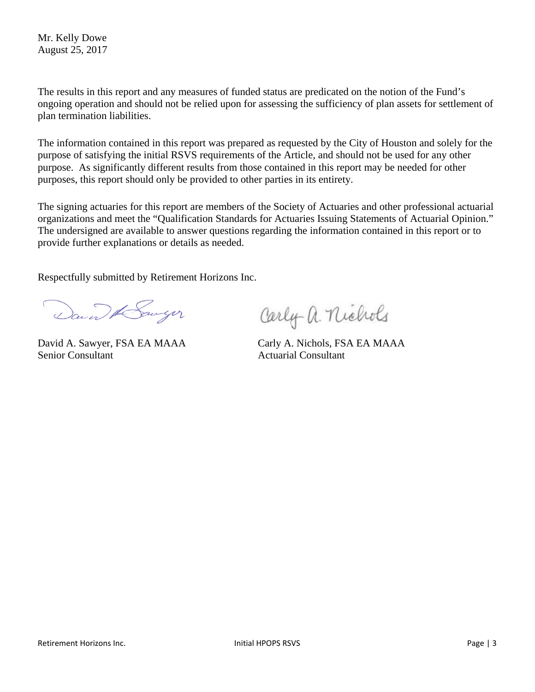The results in this report and any measures of funded status are predicated on the notion of the Fund's ongoing operation and should not be relied upon for assessing the sufficiency of plan assets for settlement of plan termination liabilities.

The information contained in this report was prepared as requested by the City of Houston and solely for the purpose of satisfying the initial RSVS requirements of the Article, and should not be used for any other purpose. As significantly different results from those contained in this report may be needed for other purposes, this report should only be provided to other parties in its entirety.

The signing actuaries for this report are members of the Society of Actuaries and other professional actuarial organizations and meet the "Qualification Standards for Actuaries Issuing Statements of Actuarial Opinion." The undersigned are available to answer questions regarding the information contained in this report or to provide further explanations or details as needed.

Respectfully submitted by Retirement Horizons Inc.

David A Sawyer

Senior Consultant **Actuarial Consultant** 

Carly a. nichols

David A. Sawyer, FSA EA MAAA Carly A. Nichols, FSA EA MAAA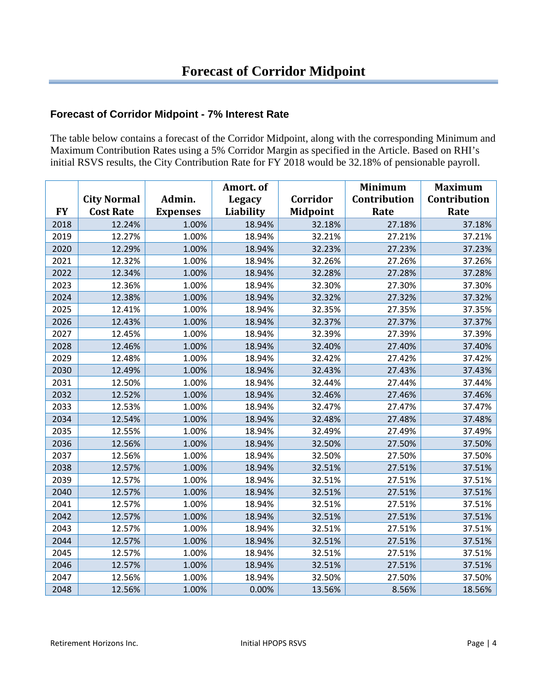#### **Forecast of Corridor Midpoint - 7% Interest Rate**

The table below contains a forecast of the Corridor Midpoint, along with the corresponding Minimum and Maximum Contribution Rates using a 5% Corridor Margin as specified in the Article. Based on RHI's initial RSVS results, the City Contribution Rate for FY 2018 would be 32.18% of pensionable payroll.

|           |                    |                 | Amort. of     |                 | <b>Minimum</b> | <b>Maximum</b> |
|-----------|--------------------|-----------------|---------------|-----------------|----------------|----------------|
|           | <b>City Normal</b> | Admin.          | <b>Legacy</b> | Corridor        | Contribution   | Contribution   |
| <b>FY</b> | <b>Cost Rate</b>   | <b>Expenses</b> | Liability     | <b>Midpoint</b> | Rate           | Rate           |
| 2018      | 12.24%             | 1.00%           | 18.94%        | 32.18%          | 27.18%         | 37.18%         |
| 2019      | 12.27%             | 1.00%           | 18.94%        | 32.21%          | 27.21%         | 37.21%         |
| 2020      | 12.29%             | 1.00%           | 18.94%        | 32.23%          | 27.23%         | 37.23%         |
| 2021      | 12.32%             | 1.00%           | 18.94%        | 32.26%          | 27.26%         | 37.26%         |
| 2022      | 12.34%             | 1.00%           | 18.94%        | 32.28%          | 27.28%         | 37.28%         |
| 2023      | 12.36%             | 1.00%           | 18.94%        | 32.30%          | 27.30%         | 37.30%         |
| 2024      | 12.38%             | 1.00%           | 18.94%        | 32.32%          | 27.32%         | 37.32%         |
| 2025      | 12.41%             | 1.00%           | 18.94%        | 32.35%          | 27.35%         | 37.35%         |
| 2026      | 12.43%             | 1.00%           | 18.94%        | 32.37%          | 27.37%         | 37.37%         |
| 2027      | 12.45%             | 1.00%           | 18.94%        | 32.39%          | 27.39%         | 37.39%         |
| 2028      | 12.46%             | 1.00%           | 18.94%        | 32.40%          | 27.40%         | 37.40%         |
| 2029      | 12.48%             | 1.00%           | 18.94%        | 32.42%          | 27.42%         | 37.42%         |
| 2030      | 12.49%             | 1.00%           | 18.94%        | 32.43%          | 27.43%         | 37.43%         |
| 2031      | 12.50%             | 1.00%           | 18.94%        | 32.44%          | 27.44%         | 37.44%         |
| 2032      | 12.52%             | 1.00%           | 18.94%        | 32.46%          | 27.46%         | 37.46%         |
| 2033      | 12.53%             | 1.00%           | 18.94%        | 32.47%          | 27.47%         | 37.47%         |
| 2034      | 12.54%             | 1.00%           | 18.94%        | 32.48%          | 27.48%         | 37.48%         |
| 2035      | 12.55%             | 1.00%           | 18.94%        | 32.49%          | 27.49%         | 37.49%         |
| 2036      | 12.56%             | 1.00%           | 18.94%        | 32.50%          | 27.50%         | 37.50%         |
| 2037      | 12.56%             | 1.00%           | 18.94%        | 32.50%          | 27.50%         | 37.50%         |
| 2038      | 12.57%             | 1.00%           | 18.94%        | 32.51%          | 27.51%         | 37.51%         |
| 2039      | 12.57%             | 1.00%           | 18.94%        | 32.51%          | 27.51%         | 37.51%         |
| 2040      | 12.57%             | 1.00%           | 18.94%        | 32.51%          | 27.51%         | 37.51%         |
| 2041      | 12.57%             | 1.00%           | 18.94%        | 32.51%          | 27.51%         | 37.51%         |
| 2042      | 12.57%             | 1.00%           | 18.94%        | 32.51%          | 27.51%         | 37.51%         |
| 2043      | 12.57%             | 1.00%           | 18.94%        | 32.51%          | 27.51%         | 37.51%         |
| 2044      | 12.57%             | 1.00%           | 18.94%        | 32.51%          | 27.51%         | 37.51%         |
| 2045      | 12.57%             | 1.00%           | 18.94%        | 32.51%          | 27.51%         | 37.51%         |
| 2046      | 12.57%             | 1.00%           | 18.94%        | 32.51%          | 27.51%         | 37.51%         |
| 2047      | 12.56%             | 1.00%           | 18.94%        | 32.50%          | 27.50%         | 37.50%         |
| 2048      | 12.56%             | 1.00%           | 0.00%         | 13.56%          | 8.56%          | 18.56%         |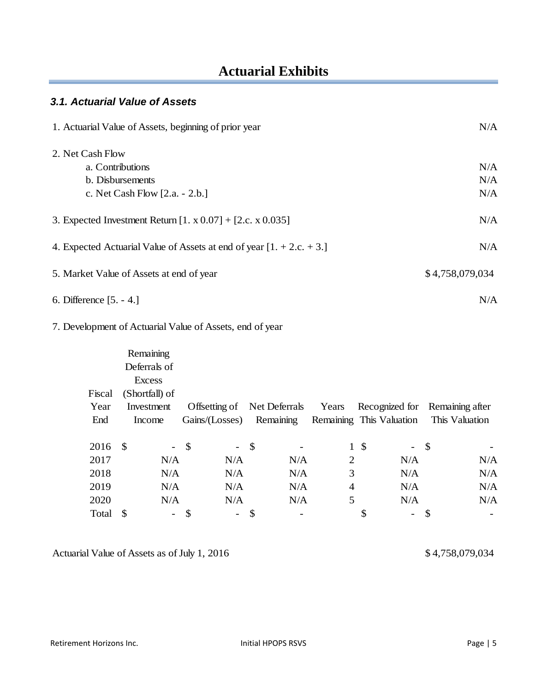# **Actuarial Exhibits**

### *3.1. Actuarial Value of Assets*

| 1. Actuarial Value of Assets, beginning of prior year                    |                                |                                                              |               |       | N/A            |                 |
|--------------------------------------------------------------------------|--------------------------------|--------------------------------------------------------------|---------------|-------|----------------|-----------------|
| 2. Net Cash Flow                                                         |                                |                                                              |               |       |                |                 |
| a. Contributions                                                         |                                |                                                              |               |       |                | N/A             |
|                                                                          | b. Disbursements               |                                                              |               |       |                | N/A             |
|                                                                          | c. Net Cash Flow [2.a. - 2.b.] |                                                              |               |       |                | N/A             |
|                                                                          |                                | 3. Expected Investment Return $[1. x 0.07] + [2.c. x 0.035]$ |               |       |                | N/A             |
| 4. Expected Actuarial Value of Assets at end of year $[1 + 2.c. + 3.]$   |                                |                                                              |               | N/A   |                |                 |
| 5. Market Value of Assets at end of year                                 |                                |                                                              |               |       |                | \$4,758,079,034 |
| 6. Difference [5. - 4.]                                                  |                                |                                                              |               |       |                | N/A             |
|                                                                          |                                | 7. Development of Actuarial Value of Assets, end of year     |               |       |                |                 |
|                                                                          | Remaining                      |                                                              |               |       |                |                 |
|                                                                          | Deferrals of                   |                                                              |               |       |                |                 |
|                                                                          | <b>Excess</b>                  |                                                              |               |       |                |                 |
| Fiscal                                                                   | (Shortfall) of                 |                                                              |               |       |                |                 |
| Year                                                                     | Investment                     | Offsetting of                                                | Net Deferrals | Years | Recognized for | Remaining after |
| Gains/(Losses)<br>Remaining<br>Remaining This Valuation<br>End<br>Income |                                |                                                              |               |       |                | This Valuation  |

| 2016<br>-\$                        | - \$ | - \$                             | $\overline{\phantom{0}}$ | -S | - \$                                          | $\sim$                   |
|------------------------------------|------|----------------------------------|--------------------------|----|-----------------------------------------------|--------------------------|
| 2017                               | N/A  | N/A                              | N/A                      |    | N/A                                           | N/A                      |
| 2018                               | N/A  | N/A                              | N/A                      | 3  | N/A                                           | N/A                      |
| 2019                               | N/A  | N/A                              | N/A                      | 4  | N/A                                           | N/A                      |
| 2020                               | N/A  | N/A                              | N/A                      |    | N/A                                           | N/A                      |
| Total<br>$\boldsymbol{\mathsf{S}}$ | - 8  | - \$<br>$\overline{\phantom{a}}$ | -                        | \$ | $\mathcal{P}$<br>$\qquad \qquad \blacksquare$ | $\overline{\phantom{a}}$ |

Actuarial Value of Assets as of July 1, 2016  $$4,758,079,034$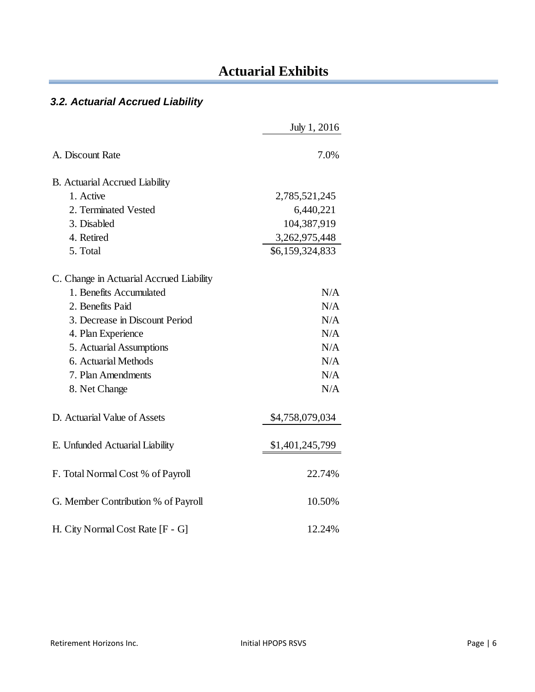### *3.2. Actuarial Accrued Liability*

|                                          | July 1, 2016    |
|------------------------------------------|-----------------|
| A. Discount Rate                         | 7.0%            |
| <b>B.</b> Actuarial Accrued Liability    |                 |
| 1. Active                                | 2,785,521,245   |
| 2. Terminated Vested                     | 6,440,221       |
| 3. Disabled                              | 104,387,919     |
| 4. Retired                               | 3,262,975,448   |
| 5. Total                                 | \$6,159,324,833 |
| C. Change in Actuarial Accrued Liability |                 |
| 1. Benefits Accumulated                  | N/A             |
| 2. Benefits Paid                         | N/A             |
| 3. Decrease in Discount Period           | N/A             |
| 4. Plan Experience                       | N/A             |
| 5. Actuarial Assumptions                 | N/A             |
| 6. Actuarial Methods                     | N/A             |
| 7. Plan Amendments                       | N/A             |
| 8. Net Change                            | N/A             |
| D. Actuarial Value of Assets             | \$4,758,079,034 |
| E. Unfunded Actuarial Liability          | \$1,401,245,799 |
| F. Total Normal Cost % of Payroll        | 22.74%          |
| G. Member Contribution % of Payroll      | 10.50%          |
| H. City Normal Cost Rate [F - G]         | 12.24%          |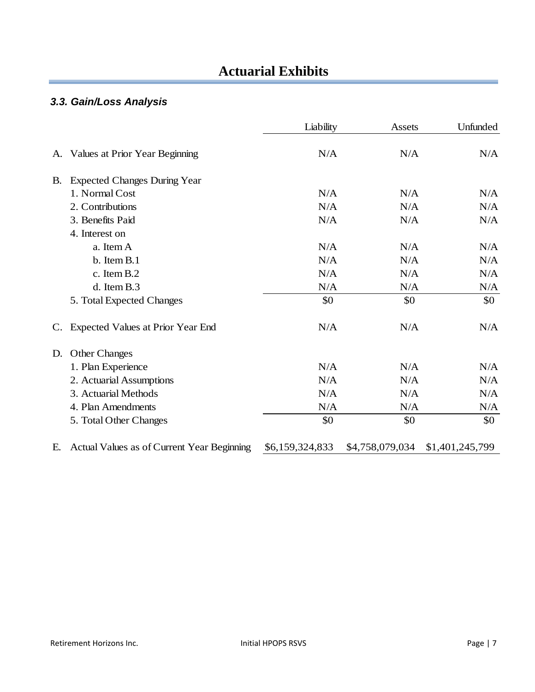# **Actuarial Exhibits**

### *3.3. Gain/Loss Analysis*

|    |                                            | Liability       | Assets          | Unfunded        |
|----|--------------------------------------------|-----------------|-----------------|-----------------|
| A. | Values at Prior Year Beginning             | N/A             | N/A             | N/A             |
| B. | <b>Expected Changes During Year</b>        |                 |                 |                 |
|    | 1. Normal Cost                             | N/A             | N/A             | N/A             |
|    | 2. Contributions                           | N/A             | N/A             | N/A             |
|    | 3. Benefits Paid                           | N/A             | N/A             | N/A             |
|    | 4. Interest on                             |                 |                 |                 |
|    | a. Item A                                  | N/A             | N/A             | N/A             |
|    | b. Item B.1                                | N/A             | N/A             | N/A             |
|    | c. Item B.2                                | N/A             | N/A             | N/A             |
|    | d. Item B.3                                | N/A             | N/A             | N/A             |
|    | 5. Total Expected Changes                  | \$0             | \$0             | \$0             |
| C. | Expected Values at Prior Year End          | N/A             | N/A             | N/A             |
| D. | <b>Other Changes</b>                       |                 |                 |                 |
|    | 1. Plan Experience                         | N/A             | N/A             | N/A             |
|    | 2. Actuarial Assumptions                   | N/A             | N/A             | N/A             |
|    | 3. Actuarial Methods                       | N/A             | N/A             | N/A             |
|    | 4. Plan Amendments                         | N/A             | N/A             | N/A             |
|    | 5. Total Other Changes                     | \$0             | \$0             | \$0             |
| Е. | Actual Values as of Current Year Beginning | \$6,159,324,833 | \$4,758,079,034 | \$1,401,245,799 |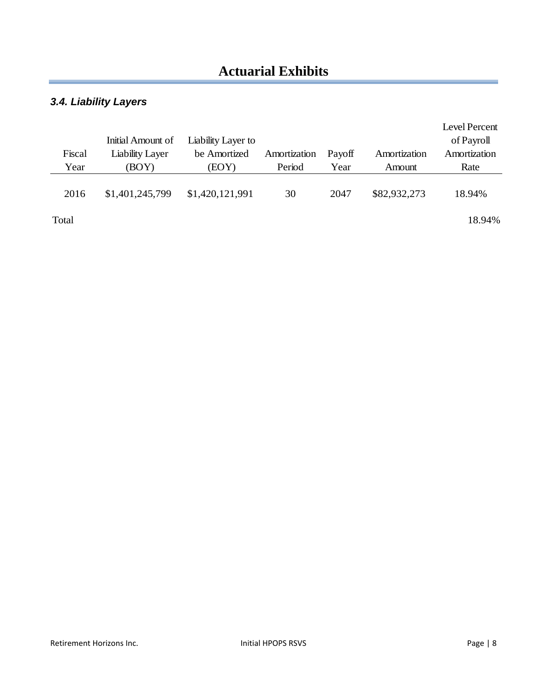# **Actuarial Exhibits**

### *3.4. Liability Layers*

|        | Initial Amount of      | Liability Layer to |              |        |              | Level Percent<br>of Payroll |
|--------|------------------------|--------------------|--------------|--------|--------------|-----------------------------|
| Fiscal | <b>Liability Layer</b> | be Amortized       | Amortization | Payoff | Amortization | Amortization                |
| Year   | (BOY)                  | (EOY)              | Period       | Year   | Amount       | Rate                        |
| 2016   | \$1,401,245,799        | \$1,420,121,991    | 30           | 2047   | \$82,932,273 | 18.94%                      |
| Total  |                        |                    |              |        |              | 18.94%                      |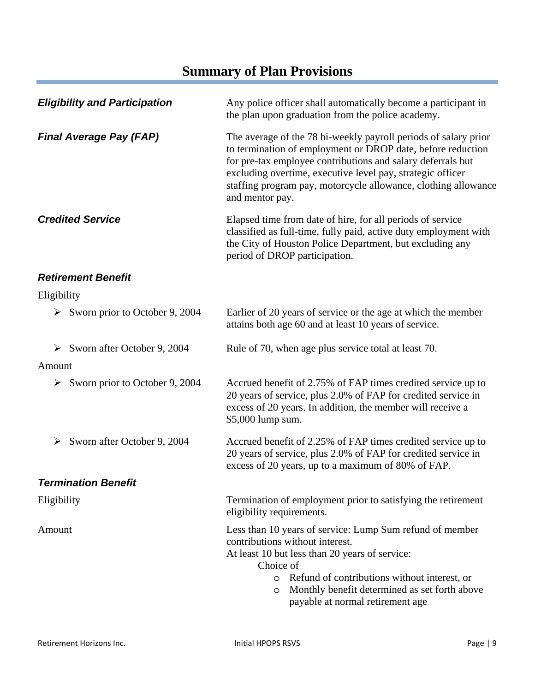| <b>Eligibility and Participation</b> | Any police officer shall automatically become a participant in<br>the plan upon graduation from the police academy.                                                                                                                                                                                                                              |
|--------------------------------------|--------------------------------------------------------------------------------------------------------------------------------------------------------------------------------------------------------------------------------------------------------------------------------------------------------------------------------------------------|
| <b>Final Average Pay (FAP)</b>       | The average of the 78 bi-weekly payroll periods of salary prior<br>to termination of employment or DROP date, before reduction<br>for pre-tax employee contributions and salary deferrals but<br>excluding overtime, executive level pay, strategic officer<br>staffing program pay, motorcycle allowance, clothing allowance<br>and mentor pay. |
| <b>Credited Service</b>              | Elapsed time from date of hire, for all periods of service<br>classified as full-time, fully paid, active duty employment with<br>the City of Houston Police Department, but excluding any<br>period of DROP participation.                                                                                                                      |
| <b>Retirement Benefit</b>            |                                                                                                                                                                                                                                                                                                                                                  |
| Eligibility                          |                                                                                                                                                                                                                                                                                                                                                  |
| Sworn prior to October 9, 2004       | Earlier of 20 years of service or the age at which the member<br>attains both age 60 and at least 10 years of service.                                                                                                                                                                                                                           |
| Sworn after October 9, 2004          | Rule of 70, when age plus service total at least 70.                                                                                                                                                                                                                                                                                             |
| Amount                               |                                                                                                                                                                                                                                                                                                                                                  |
| Sworn prior to October 9, 2004       | Accrued benefit of 2.75% of FAP times credited service up to<br>20 years of service, plus 2.0% of FAP for credited service in<br>excess of 20 years. In addition, the member will receive a<br>\$5,000 lump sum.                                                                                                                                 |
| Sworn after October 9, 2004          | Accrued benefit of 2.25% of FAP times credited service up to<br>20 years of service, plus 2.0% of FAP for credited service in<br>excess of 20 years, up to a maximum of 80% of FAP.                                                                                                                                                              |
| <b>Termination Benefit</b>           |                                                                                                                                                                                                                                                                                                                                                  |
| Eligibility                          | Termination of employment prior to satisfying the retirement<br>eligibility requirements.                                                                                                                                                                                                                                                        |
| Amount                               | Less than 10 years of service: Lump Sum refund of member<br>contributions without interest.<br>At least 10 but less than 20 years of service:<br>Choice of<br>Refund of contributions without interest, or<br>$\circ$<br>Monthly benefit determined as set forth above<br>$\circ$<br>payable at normal retirement age                            |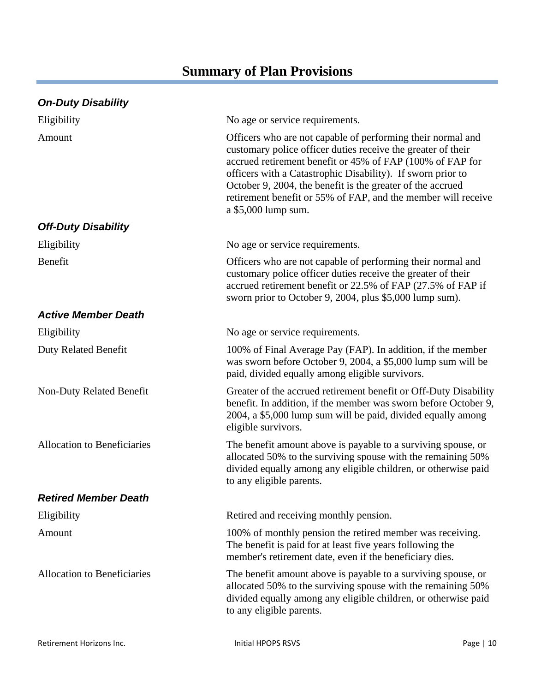### *On-Duty Disability*  Eligibility No age or service requirements. Amount **Conserversity** Officers who are not capable of performing their normal and customary police officer duties receive the greater of their accrued retirement benefit or 45% of FAP (100% of FAP for officers with a Catastrophic Disability). If sworn prior to October 9, 2004, the benefit is the greater of the accrued retirement benefit or 55% of FAP, and the member will receive a \$5,000 lump sum. *Off-Duty Disability*  Eligibility No age or service requirements. Benefit **Defficers** who are not capable of performing their normal and customary police officer duties receive the greater of their accrued retirement benefit or 22.5% of FAP (27.5% of FAP if sworn prior to October 9, 2004, plus \$5,000 lump sum). *Active Member Death*  Eligibility No age or service requirements. Duty Related Benefit 100% of Final Average Pay (FAP). In addition, if the member was sworn before October 9, 2004, a \$5,000 lump sum will be paid, divided equally among eligible survivors. Non-Duty Related Benefit Greater of the accrued retirement benefit or Off-Duty Disability benefit. In addition, if the member was sworn before October 9, 2004, a \$5,000 lump sum will be paid, divided equally among eligible survivors. Allocation to Beneficiaries The benefit amount above is payable to a surviving spouse, or allocated 50% to the surviving spouse with the remaining 50% divided equally among any eligible children, or otherwise paid to any eligible parents. *Retired Member Death*  Eligibility **Retired** and receiving monthly pension. Amount 100% of monthly pension the retired member was receiving. The benefit is paid for at least five years following the member's retirement date, even if the beneficiary dies. Allocation to Beneficiaries The benefit amount above is payable to a surviving spouse, or allocated 50% to the surviving spouse with the remaining 50% divided equally among any eligible children, or otherwise paid to any eligible parents.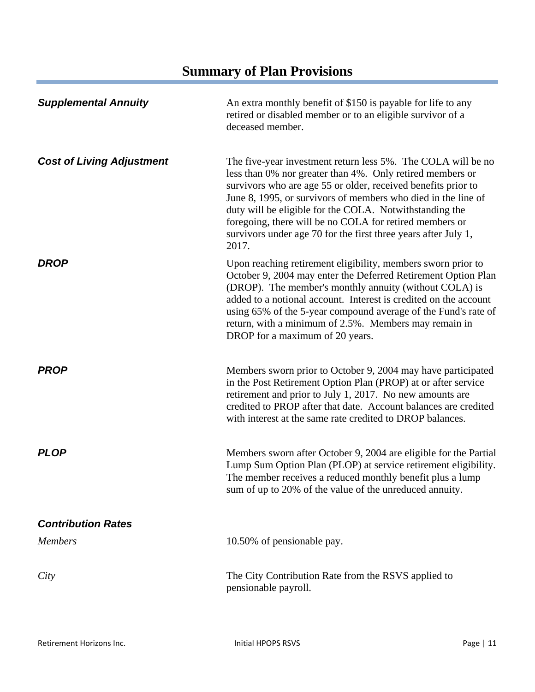| <b>Supplemental Annuity</b>      | An extra monthly benefit of \$150 is payable for life to any<br>retired or disabled member or to an eligible survivor of a<br>deceased member.                                                                                                                                                                                                                                                                                                               |
|----------------------------------|--------------------------------------------------------------------------------------------------------------------------------------------------------------------------------------------------------------------------------------------------------------------------------------------------------------------------------------------------------------------------------------------------------------------------------------------------------------|
| <b>Cost of Living Adjustment</b> | The five-year investment return less 5%. The COLA will be no<br>less than 0% nor greater than 4%. Only retired members or<br>survivors who are age 55 or older, received benefits prior to<br>June 8, 1995, or survivors of members who died in the line of<br>duty will be eligible for the COLA. Notwithstanding the<br>foregoing, there will be no COLA for retired members or<br>survivors under age 70 for the first three years after July 1,<br>2017. |
| <b>DROP</b>                      | Upon reaching retirement eligibility, members sworn prior to<br>October 9, 2004 may enter the Deferred Retirement Option Plan<br>(DROP). The member's monthly annuity (without COLA) is<br>added to a notional account. Interest is credited on the account<br>using 65% of the 5-year compound average of the Fund's rate of<br>return, with a minimum of 2.5%. Members may remain in<br>DROP for a maximum of 20 years.                                    |
| <b>PROP</b>                      | Members sworn prior to October 9, 2004 may have participated<br>in the Post Retirement Option Plan (PROP) at or after service<br>retirement and prior to July 1, 2017. No new amounts are<br>credited to PROP after that date. Account balances are credited<br>with interest at the same rate credited to DROP balances.                                                                                                                                    |
| <b>PLOP</b>                      | Members sworn after October 9, 2004 are eligible for the Partial<br>Lump Sum Option Plan (PLOP) at service retirement eligibility.<br>The member receives a reduced monthly benefit plus a lump<br>sum of up to 20% of the value of the unreduced annuity.                                                                                                                                                                                                   |
| <b>Contribution Rates</b>        |                                                                                                                                                                                                                                                                                                                                                                                                                                                              |
| <b>Members</b>                   | 10.50% of pensionable pay.                                                                                                                                                                                                                                                                                                                                                                                                                                   |
| City                             | The City Contribution Rate from the RSVS applied to<br>pensionable payroll.                                                                                                                                                                                                                                                                                                                                                                                  |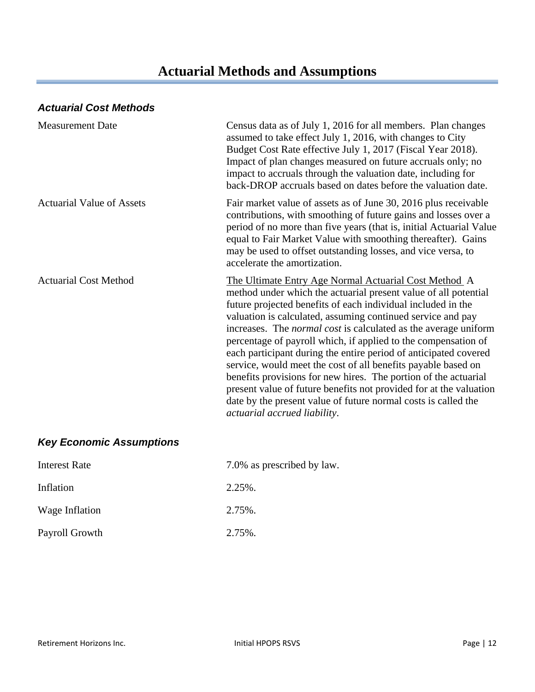#### *Actuarial Cost Methods*

| <b>Measurement Date</b>          | Census data as of July 1, 2016 for all members. Plan changes<br>assumed to take effect July 1, 2016, with changes to City<br>Budget Cost Rate effective July 1, 2017 (Fiscal Year 2018).<br>Impact of plan changes measured on future accruals only; no<br>impact to accruals through the valuation date, including for<br>back-DROP accruals based on dates before the valuation date.                                                                                                                                                                                                                                                                                                                                                                                             |
|----------------------------------|-------------------------------------------------------------------------------------------------------------------------------------------------------------------------------------------------------------------------------------------------------------------------------------------------------------------------------------------------------------------------------------------------------------------------------------------------------------------------------------------------------------------------------------------------------------------------------------------------------------------------------------------------------------------------------------------------------------------------------------------------------------------------------------|
| <b>Actuarial Value of Assets</b> | Fair market value of assets as of June 30, 2016 plus receivable<br>contributions, with smoothing of future gains and losses over a<br>period of no more than five years (that is, initial Actuarial Value<br>equal to Fair Market Value with smoothing thereafter). Gains<br>may be used to offset outstanding losses, and vice versa, to<br>accelerate the amortization.                                                                                                                                                                                                                                                                                                                                                                                                           |
| <b>Actuarial Cost Method</b>     | The Ultimate Entry Age Normal Actuarial Cost Method A<br>method under which the actuarial present value of all potential<br>future projected benefits of each individual included in the<br>valuation is calculated, assuming continued service and pay<br>increases. The <i>normal cost</i> is calculated as the average uniform<br>percentage of payroll which, if applied to the compensation of<br>each participant during the entire period of anticipated covered<br>service, would meet the cost of all benefits payable based on<br>benefits provisions for new hires. The portion of the actuarial<br>present value of future benefits not provided for at the valuation<br>date by the present value of future normal costs is called the<br>actuarial accrued liability. |

#### *Key Economic Assumptions*

| Interest Rate  | 7.0% as prescribed by law. |
|----------------|----------------------------|
| Inflation      | $2.25\%$ .                 |
| Wage Inflation | $2.75\%$ .                 |
| Payroll Growth | $2.75\%$ .                 |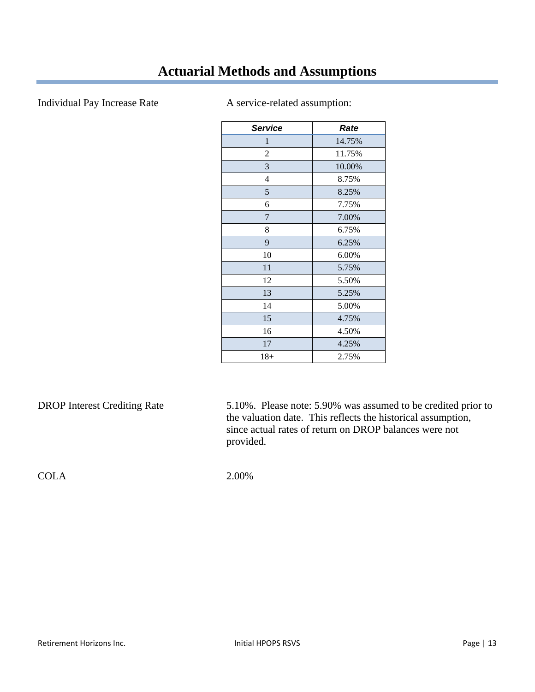Individual Pay Increase Rate A service-related assumption:

| <b>Service</b> | Rate   |
|----------------|--------|
| $\mathbf{1}$   | 14.75% |
| $\overline{c}$ | 11.75% |
| 3              | 10.00% |
| 4              | 8.75%  |
| 5              | 8.25%  |
| 6              | 7.75%  |
| 7              | 7.00%  |
| 8              | 6.75%  |
| 9              | 6.25%  |
| 10             | 6.00%  |
| 11             | 5.75%  |
| 12             | 5.50%  |
| 13             | 5.25%  |
| 14             | 5.00%  |
| 15             | 4.75%  |
| 16             | 4.50%  |
| 17             | 4.25%  |
| $18+$          | 2.75%  |

DROP Interest Crediting Rate 5.10%. Please note: 5.90% was assumed to be credited prior to the valuation date. This reflects the historical assumption, since actual rates of return on DROP balances were not provided.

COLA 2.00%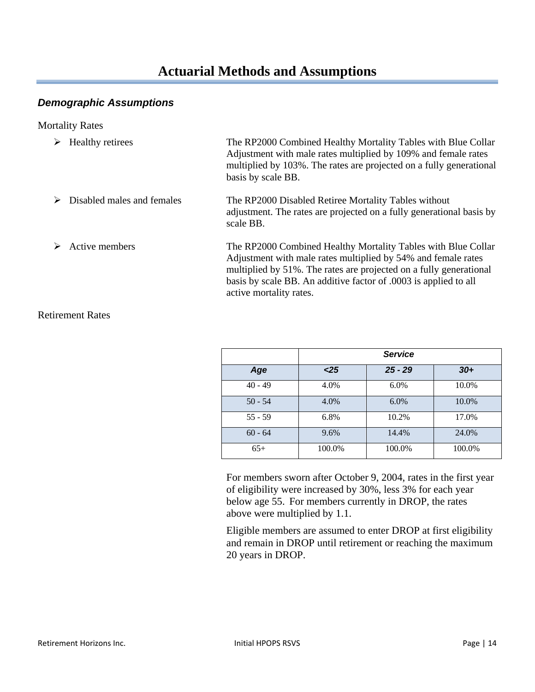#### *Demographic Assumptions*

Mortality Rates

| Healthy retirees           | The RP2000 Combined Healthy Mortality Tables with Blue Collar<br>Adjustment with male rates multiplied by 109% and female rates<br>multiplied by 103%. The rates are projected on a fully generational<br>basis by scale BB.                                                                         |
|----------------------------|------------------------------------------------------------------------------------------------------------------------------------------------------------------------------------------------------------------------------------------------------------------------------------------------------|
| Disabled males and females | The RP2000 Disabled Retiree Mortality Tables without<br>adjustment. The rates are projected on a fully generational basis by<br>scale BB.                                                                                                                                                            |
| Active members             | The RP2000 Combined Healthy Mortality Tables with Blue Collar<br>Adjustment with male rates multiplied by 54% and female rates<br>multiplied by 51%. The rates are projected on a fully generational<br>basis by scale BB. An additive factor of 0.0003 is applied to all<br>active mortality rates. |

Retirement Rates

|           | <b>Service</b> |           |        |
|-----------|----------------|-----------|--------|
| Age       | $25$           | $25 - 29$ | $30+$  |
| $40 - 49$ | 4.0%           | 6.0%      | 10.0%  |
| $50 - 54$ | 4.0%           | 6.0%      | 10.0%  |
| $55 - 59$ | 6.8%           | 10.2%     | 17.0%  |
| $60 - 64$ | 9.6%           | 14.4%     | 24.0%  |
| $65+$     | 100.0%         | 100.0%    | 100.0% |

For members sworn after October 9, 2004, rates in the first year of eligibility were increased by 30%, less 3% for each year below age 55. For members currently in DROP, the rates above were multiplied by 1.1.

Eligible members are assumed to enter DROP at first eligibility and remain in DROP until retirement or reaching the maximum 20 years in DROP.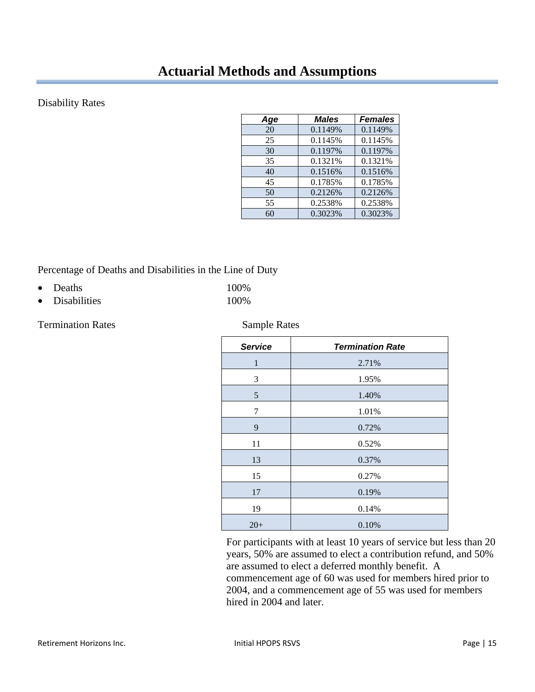#### Disability Rates

| Age | <b>Males</b> | <b>Females</b> |
|-----|--------------|----------------|
| 20  | 0.1149%      | 0.1149%        |
| 25  | 0.1145%      | 0.1145%        |
| 30  | 0.1197%      | 0.1197%        |
| 35  | 0.1321%      | 0.1321%        |
| 40  | 0.1516%      | 0.1516%        |
| 45  | 0.1785%      | 0.1785%        |
| 50  | 0.2126%      | 0.2126%        |
| 55  | 0.2538%      | 0.2538%        |
| 60  | 0.3023%      | 0.3023%        |

#### Percentage of Deaths and Disabilities in the Line of Duty

| $\bullet$ Deaths | 100% |
|------------------|------|
| • Disabilities   | 100% |

Termination Rates Sample Rates

| <b>Service</b> | <b>Termination Rate</b> |
|----------------|-------------------------|
| $\mathbf{1}$   | 2.71%                   |
| 3              | 1.95%                   |
| $\mathfrak{S}$ | 1.40%                   |
| 7              | 1.01%                   |
| 9              | 0.72%                   |
| 11             | 0.52%                   |
| 13             | 0.37%                   |
| 15             | 0.27%                   |
| 17             | 0.19%                   |
| 19             | 0.14%                   |
| $20+$          | 0.10%                   |

For participants with at least 10 years of service but less than 20 years, 50% are assumed to elect a contribution refund, and 50% are assumed to elect a deferred monthly benefit. A commencement age of 60 was used for members hired prior to 2004, and a commencement age of 55 was used for members hired in 2004 and later.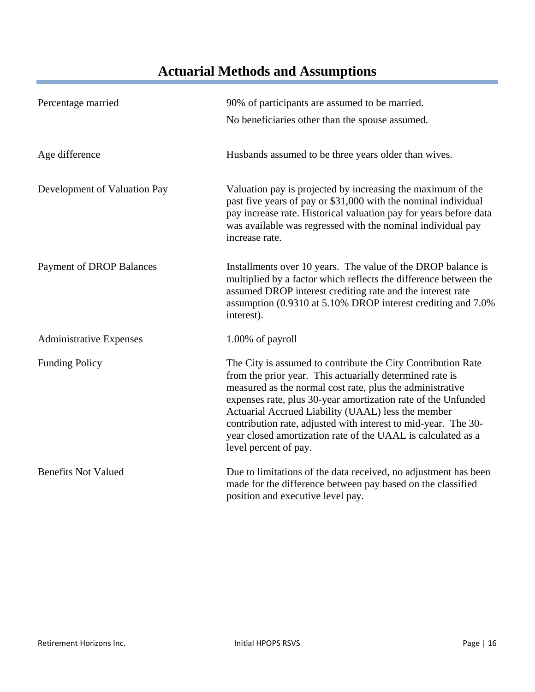| Percentage married              | 90% of participants are assumed to be married.                                                                                                                                                                                                                                                                                                                                                                                                                          |
|---------------------------------|-------------------------------------------------------------------------------------------------------------------------------------------------------------------------------------------------------------------------------------------------------------------------------------------------------------------------------------------------------------------------------------------------------------------------------------------------------------------------|
|                                 | No beneficiaries other than the spouse assumed.                                                                                                                                                                                                                                                                                                                                                                                                                         |
| Age difference                  | Husbands assumed to be three years older than wives.                                                                                                                                                                                                                                                                                                                                                                                                                    |
| Development of Valuation Pay    | Valuation pay is projected by increasing the maximum of the<br>past five years of pay or \$31,000 with the nominal individual<br>pay increase rate. Historical valuation pay for years before data<br>was available was regressed with the nominal individual pay<br>increase rate.                                                                                                                                                                                     |
| <b>Payment of DROP Balances</b> | Installments over 10 years. The value of the DROP balance is<br>multiplied by a factor which reflects the difference between the<br>assumed DROP interest crediting rate and the interest rate<br>assumption (0.9310 at 5.10% DROP interest crediting and 7.0%<br>interest).                                                                                                                                                                                            |
| <b>Administrative Expenses</b>  | 1.00% of payroll                                                                                                                                                                                                                                                                                                                                                                                                                                                        |
| <b>Funding Policy</b>           | The City is assumed to contribute the City Contribution Rate<br>from the prior year. This actuarially determined rate is<br>measured as the normal cost rate, plus the administrative<br>expenses rate, plus 30-year amortization rate of the Unfunded<br>Actuarial Accrued Liability (UAAL) less the member<br>contribution rate, adjusted with interest to mid-year. The 30-<br>year closed amortization rate of the UAAL is calculated as a<br>level percent of pay. |
| <b>Benefits Not Valued</b>      | Due to limitations of the data received, no adjustment has been<br>made for the difference between pay based on the classified<br>position and executive level pay.                                                                                                                                                                                                                                                                                                     |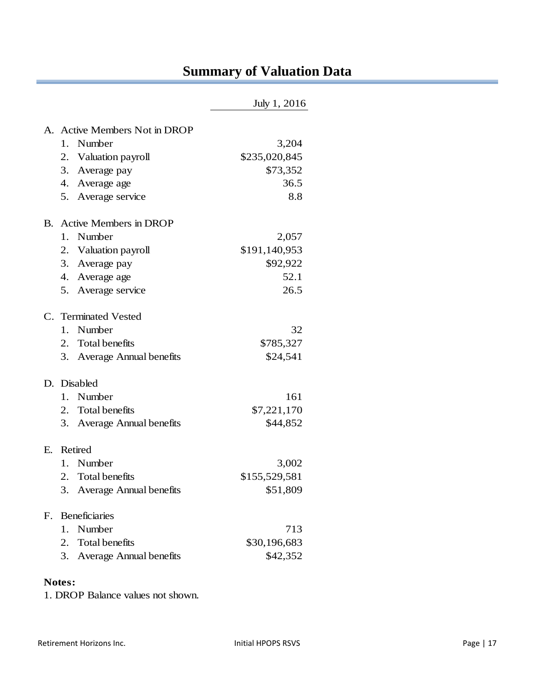## July 1, 2016 A. Active Members Not in DROP 1. Number 3,204 2. Valuation payroll \$235,020,845 3. Average pay \$73,352 4. Average age 36.5 5. Average service 8.8 B. Active Members in DROP 1. Number 2,057 2. Valuation payroll \$191,140,953 3. Average pay \$92,922 4. Average age 52.1 5. Average service 26.5 C. Terminated Vested 1. Number 32 2. Total benefits \$785,327 3. Average Annual benefits \$24,541 D. Disabled 1. Number 161 2. Total benefits \$7,221,170 3. Average Annual benefits \$44,852 E. Retired 1. Number 3,002 2. Total benefits \$155,529,581 3. Average Annual benefits \$51,809 F. Beneficiaries 1. Number 713 2. Total benefits \$30,196,683 3. Average Annual benefits \$42,352

## **Summary of Valuation Data**

#### **Notes:**

1. DROP Balance values not shown.